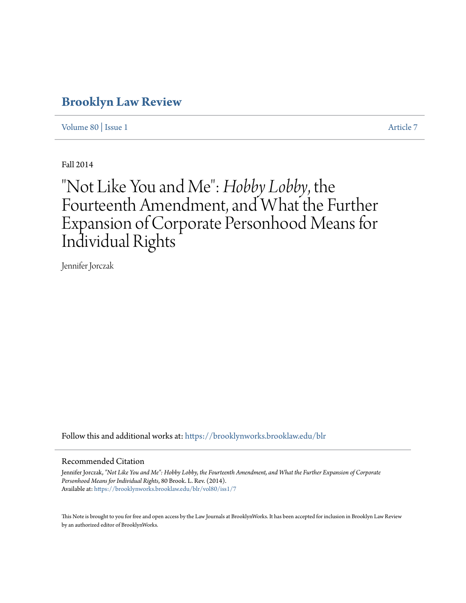# **[Brooklyn Law Review](https://brooklynworks.brooklaw.edu/blr?utm_source=brooklynworks.brooklaw.edu%2Fblr%2Fvol80%2Fiss1%2F7&utm_medium=PDF&utm_campaign=PDFCoverPages)**

[Volume 80](https://brooklynworks.brooklaw.edu/blr/vol80?utm_source=brooklynworks.brooklaw.edu%2Fblr%2Fvol80%2Fiss1%2F7&utm_medium=PDF&utm_campaign=PDFCoverPages) | [Issue 1](https://brooklynworks.brooklaw.edu/blr/vol80/iss1?utm_source=brooklynworks.brooklaw.edu%2Fblr%2Fvol80%2Fiss1%2F7&utm_medium=PDF&utm_campaign=PDFCoverPages) [Article 7](https://brooklynworks.brooklaw.edu/blr/vol80/iss1/7?utm_source=brooklynworks.brooklaw.edu%2Fblr%2Fvol80%2Fiss1%2F7&utm_medium=PDF&utm_campaign=PDFCoverPages)

Fall 2014

# "Not Like You and Me":*Hobby Lobby*, the Fourteenth Amendment, and What the Further Expansion of Corporate Personhood Means for Individual Rights

Jennifer Jorczak

Follow this and additional works at: [https://brooklynworks.brooklaw.edu/blr](https://brooklynworks.brooklaw.edu/blr?utm_source=brooklynworks.brooklaw.edu%2Fblr%2Fvol80%2Fiss1%2F7&utm_medium=PDF&utm_campaign=PDFCoverPages)

#### Recommended Citation

Jennifer Jorczak, *"Not Like You and Me": Hobby Lobby, the Fourteenth Amendment, and What the Further Expansion of Corporate Personhood Means for Individual Rights*, 80 Brook. L. Rev. (2014). Available at: [https://brooklynworks.brooklaw.edu/blr/vol80/iss1/7](https://brooklynworks.brooklaw.edu/blr/vol80/iss1/7?utm_source=brooklynworks.brooklaw.edu%2Fblr%2Fvol80%2Fiss1%2F7&utm_medium=PDF&utm_campaign=PDFCoverPages)

This Note is brought to you for free and open access by the Law Journals at BrooklynWorks. It has been accepted for inclusion in Brooklyn Law Review by an authorized editor of BrooklynWorks.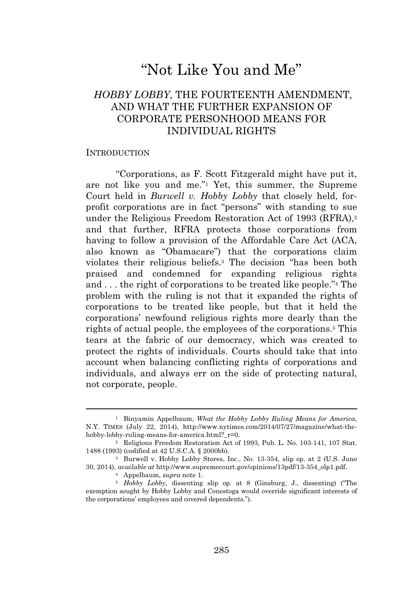# "Not Like You and Me"

# *HOBBY LOBBY*, THE FOURTEENTH AMENDMENT, AND WHAT THE FURTHER EXPANSION OF CORPORATE PERSONHOOD MEANS FOR INDIVIDUAL RIGHTS

#### INTRODUCTION

"Corporations, as F. Scott Fitzgerald might have put it, are not like you and me." <sup>1</sup> Yet, this summer, the Supreme Court held in *Burwell v. Hobby Lobby* that closely held, forprofit corporations are in fact "persons" with standing to sue under the Religious Freedom Restoration Act of 1993 (RFRA),<sup>2</sup> and that further, RFRA protects those corporations from having to follow a provision of the Affordable Care Act (ACA, also known as "Obamacare") that the corporations claim violates their religious beliefs.<sup>3</sup> The decision "has been both praised and condemned for expanding religious rights and . . . the right of corporations to be treated like people."<sup>4</sup> The problem with the ruling is not that it expanded the rights of corporations to be treated like people, but that it held the corporations' newfound religious rights more dearly than the rights of actual people, the employees of the corporations.<sup>5</sup> This tears at the fabric of our democracy, which was created to protect the rights of individuals. Courts should take that into account when balancing conflicting rights of corporations and individuals, and always err on the side of protecting natural, not corporate, people.

<sup>1</sup> Binyamin Appelbaum, *What the Hobby Lobby Ruling Means for America*, N.Y. TIMES (July 22, 2014), http://www.nytimes.com/2014/07/27/magazine/what-thehobby-lobby-ruling-means-for-america.html?\_r=0.

<sup>2</sup> Religious Freedom Restoration Act of 1993, Pub. L. No. 103-141, 107 Stat. 1488 (1993) (codified at 42 U.S.C.A. § 2000bb).

<sup>3</sup> Burwell v. Hobby Lobby Stores, Inc., No. 13-354, slip op. at 2 (U.S. June 30, 2014), *available at* http://www.supremecourt.gov/opinions/13pdf/13-354\_olp1.pdf.

<sup>4</sup> Appelbaum, *supra* note 1.

<sup>5</sup> *Hobby Lobby*, dissenting slip op. at 8 (Ginsburg, J., dissenting) ("The exemption sought by Hobby Lobby and Conestoga would override significant interests of the corporations' employees and covered dependents.").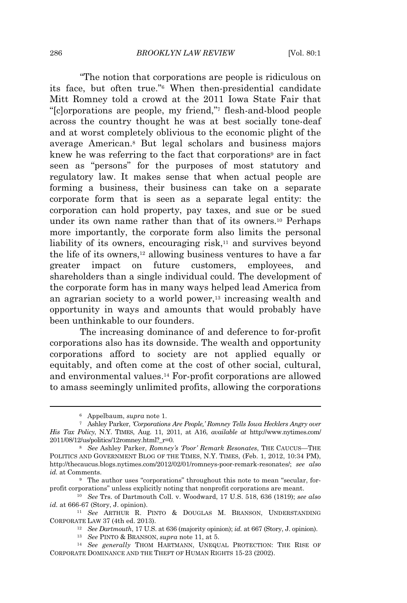"The notion that corporations are people is ridiculous on its face, but often true." <sup>6</sup> When then-presidential candidate Mitt Romney told a crowd at the 2011 Iowa State Fair that "[c]orporations are people, my friend," <sup>7</sup> flesh-and-blood people across the country thought he was at best socially tone-deaf and at worst completely oblivious to the economic plight of the average American.<sup>8</sup> But legal scholars and business majors knew he was referring to the fact that corporations<sup>9</sup> are in fact seen as "persons" for the purposes of most statutory and regulatory law. It makes sense that when actual people are forming a business, their business can take on a separate corporate form that is seen as a separate legal entity: the corporation can hold property, pay taxes, and sue or be sued under its own name rather than that of its owners.<sup>10</sup> Perhaps more importantly, the corporate form also limits the personal liability of its owners, encouraging risk,<sup>11</sup> and survives beyond the life of its owners,<sup>12</sup> allowing business ventures to have a far greater impact on future customers, employees, and shareholders than a single individual could. The development of the corporate form has in many ways helped lead America from an agrarian society to a world power,<sup>13</sup> increasing wealth and opportunity in ways and amounts that would probably have been unthinkable to our founders.

The increasing dominance of and deference to for-profit corporations also has its downside. The wealth and opportunity corporations afford to society are not applied equally or equitably, and often come at the cost of other social, cultural, and environmental values.<sup>14</sup> For-profit corporations are allowed to amass seemingly unlimited profits, allowing the corporations

<sup>6</sup> Appelbaum, *supra* note 1.

<sup>7</sup> Ashley Parker, *'Corporations Are People,' Romney Tells Iowa Hecklers Angry over His Tax Policy*, N.Y. TIMES, Aug. 11, 2011, at A16, *available at* http://www.nytimes.com/  $2011/08/12$ /us/politics/12romney.html? $r=0$ .

<sup>8</sup> *See* Ashley Parker, *Romney's 'Poor' Remark Resonates*, THE CAUCUS—THE POLITICS AND GOVERNMENT BLOG OF THE TIMES, N.Y. TIMES, (Feb. 1, 2012, 10:34 PM), http://thecaucus.blogs.nytimes.com/2012/02/01/romneys-poor-remark-resonates/; *see also id.* at Comments.

<sup>9</sup> The author uses "corporations" throughout this note to mean "secular, forprofit corporations" unless explicitly noting that nonprofit corporations are meant.

<sup>10</sup> *See* Trs. of Dartmouth Coll. v. Woodward, 17 U.S. 518, 636 (1819); *see also id.* at 666-67 (Story, J. opinion).

<sup>11</sup> *See* ARTHUR R. PINTO & DOUGLAS M. BRANSON, UNDERSTANDING CORPORATE LAW 37 (4th ed. 2013).

<sup>12</sup> *See Dartmouth*, 17 U.S. at 636 (majority opinion); *id.* at 667 (Story, J. opinion).

<sup>13</sup> *See* PINTO & BRANSON, *supra* note 11, at 5.

<sup>14</sup> *See generally* THOM HARTMANN, UNEQUAL PROTECTION: THE RISE OF CORPORATE DOMINANCE AND THE THEFT OF HUMAN RIGHTS 15-23 (2002).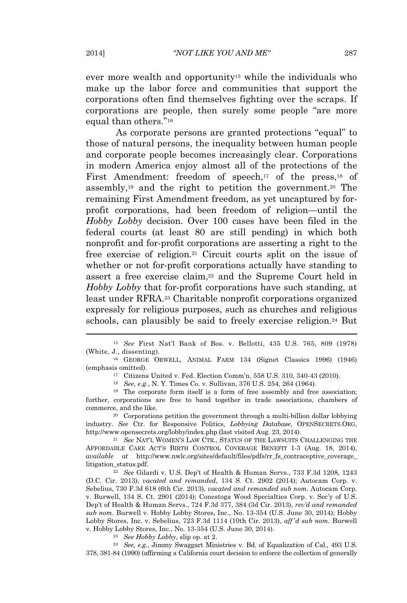ever more wealth and opportunity<sup>15</sup> while the individuals who make up the labor force and communities that support the corporations often find themselves fighting over the scraps. If corporations are people, then surely some people "are more equal than others." 16

As corporate persons are granted protections "equal" to those of natural persons, the inequality between human people and corporate people becomes increasingly clear. Corporations in modern America enjoy almost all of the protections of the First Amendment: freedom of speech,<sup>17</sup> of the press,<sup>18</sup> of assembly,<sup>19</sup> and the right to petition the government.<sup>20</sup> The remaining First Amendment freedom, as yet uncaptured by forprofit corporations, had been freedom of religion—until the *Hobby Lobby* decision. Over 100 cases have been filed in the federal courts (at least 80 are still pending) in which both nonprofit and for-profit corporations are asserting a right to the free exercise of religion.<sup>21</sup> Circuit courts split on the issue of whether or not for-profit corporations actually have standing to assert a free exercise claim,<sup>22</sup> and the Supreme Court held in *Hobby Lobby* that for-profit corporations have such standing, at least under RFRA.<sup>23</sup> Charitable nonprofit corporations organized expressly for religious purposes, such as churches and religious schools, can plausibly be said to freely exercise religion.<sup>24</sup> But

<sup>17</sup> Citizens United v. Fed. Election Comm'n, 558 U.S. 310, 340-43 (2010).

<sup>20</sup> Corporations petition the government through a multi-billion dollar lobbying industry. *See* Ctr. for Responsive Politics, *Lobbying Database*, OPENSECRETS.ORG, http://www.opensecrets.org/lobby/index.php (last visited Aug. 23, 2014).

<sup>21</sup> *See* NAT'<sup>L</sup> WOMEN'<sup>S</sup> LAW CTR., STATUS OF THE LAWSUITS CHALLENGING THE AFFORDABLE CARE ACT'<sup>S</sup> BIRTH CONTROL COVERAGE BENEFIT 1-3 (Aug. 18, 2014), *available at* http://www.nwlc.org/sites/default/files/pdfs/rr\_fs\_contraceptive\_coverage\_ litigation\_status.pdf.

<sup>22</sup> *See* Gilardi v. U.S. Dep't of Health & Human Servs., 733 F.3d 1208, 1243 (D.C. Cir. 2013), *vacated and remanded*, 134 S. Ct. 2902 (2014); Autocam Corp. v. Sebelius, 730 F.3d 618 (6th Cir. 2013), *vacated and remanded sub nom*. Autocam Corp. v. Burwell, 134 S. Ct. 2901 (2014); Conestoga Wood Specialties Corp. v. Sec'y of U.S. Dep't of Health & Human Servs., 724 F.3d 377, 384 (3d Cir. 2013), *rev'd and remanded sub nom.* Burwell v. Hobby Lobby Stores, Inc., No. 13-354 (U.S. June 30, 2014); Hobby Lobby Stores, Inc. v. Sebelius, 723 F.3d 1114 (10th Cir. 2013), *aff'd sub nom.* Burwell v. Hobby Lobby Stores, Inc., No. 13-354 (U.S. June 30, 2014).

<sup>23</sup> *See Hobby Lobby*, slip op. at 2.

<sup>24</sup> *See, e.g.*, Jimmy Swaggart Ministries v. Bd. of Equalization of Cal., 493 U.S. 378, 381-84 (1990) (affirming a California court decision to enforce the collection of generally

<sup>15</sup> *See* First Nat'l Bank of Bos. v. Bellotti, 435 U.S. 765, 809 (1978) (White, J., dissenting).

<sup>16</sup> GEORGE ORWELL, ANIMAL FARM 134 (Signet Classics 1996) (1946) (emphasis omitted).

<sup>18</sup> *See, e.g.*, N. Y. Times Co. v. Sullivan, 376 U.S. 254, 264 (1964).

<sup>19</sup> The corporate form itself is a form of free assembly and free association; further, corporations are free to band together in trade associations, chambers of commerce, and the like.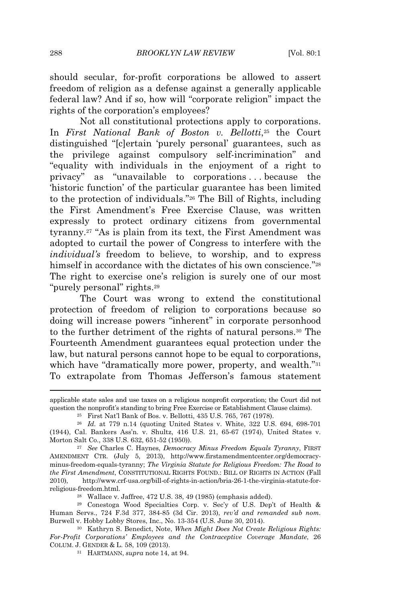should secular, for-profit corporations be allowed to assert freedom of religion as a defense against a generally applicable federal law? And if so, how will "corporate religion" impact the rights of the corporation's employees?

Not all constitutional protections apply to corporations. In *First National Bank of Boston v. Bellotti*, <sup>25</sup> the Court distinguished "[c]ertain 'purely personal' guarantees, such as the privilege against compulsory self-incrimination" and "equality with individuals in the enjoyment of a right to privacy" as "unavailable to corporations . . . because the 'historic function' of the particular guarantee has been limited to the protection of individuals." <sup>26</sup> The Bill of Rights, including the First Amendment's Free Exercise Clause, was written expressly to protect ordinary citizens from governmental tyranny.<sup>27</sup> "As is plain from its text, the First Amendment was adopted to curtail the power of Congress to interfere with the *individual's* freedom to believe, to worship, and to express himself in accordance with the dictates of his own conscience."<sup>28</sup> The right to exercise one's religion is surely one of our most "purely personal" rights.<sup>29</sup>

The Court was wrong to extend the constitutional protection of freedom of religion to corporations because so doing will increase powers "inherent" in corporate personhood to the further detriment of the rights of natural persons.<sup>30</sup> The Fourteenth Amendment guarantees equal protection under the law, but natural persons cannot hope to be equal to corporations, which have "dramatically more power, property, and wealth."31 To extrapolate from Thomas Jefferson's famous statement

applicable state sales and use taxes on a religious nonprofit corporation; the Court did not question the nonprofit's standing to bring Free Exercise or Establishment Clause claims).

<sup>25</sup> First Nat'l Bank of Bos. v. Bellotti, 435 U.S. 765, 767 (1978).

<sup>26</sup> *Id.* at 779 n.14 (quoting United States v. White, 322 U.S. 694, 698-701 (1944), Cal. Bankers Ass'n. v. Shultz, 416 U.S. 21, 65-67 (1974), United States v. Morton Salt Co., 338 U.S. 632, 651-52 (1950)).

<sup>27</sup> *See* Charles C. Haynes, *Democracy Minus Freedom Equals Tyranny*, FIRST AMENDMENT CTR. (July 5, 2013), http://www.firstamendmentcenter.org/democracyminus-freedom-equals-tyranny; *The Virginia Statute for Religious Freedom: The Road to the First Amendment*, CONSTITUTIONAL RIGHTS FOUND.: BILL OF RIGHTS IN ACTION (Fall 2010), http://www.crf-usa.org/bill-of-rights-in-action/bria-26-1-the-virginia-statute-forreligious-freedom.html.

<sup>28</sup> Wallace v. Jaffree, 472 U.S. 38, 49 (1985) (emphasis added).

<sup>29</sup> Conestoga Wood Specialties Corp. v. Sec'y of U.S. Dep't of Health & Human Servs., 724 F.3d 377, 384-85 (3d Cir. 2013), *rev'd and remanded sub nom.* Burwell v. Hobby Lobby Stores, Inc., No. 13-354 (U.S. June 30, 2014).

<sup>30</sup> Kathryn S. Benedict, Note, *When Might Does Not Create Religious Rights: For-Profit Corporations' Employees and the Contraceptive Coverage Mandate*, 26 COLUM. J. GENDER & L. 58, 109 (2013).

<sup>31</sup> HARTMANN, *supra* note 14, at 94.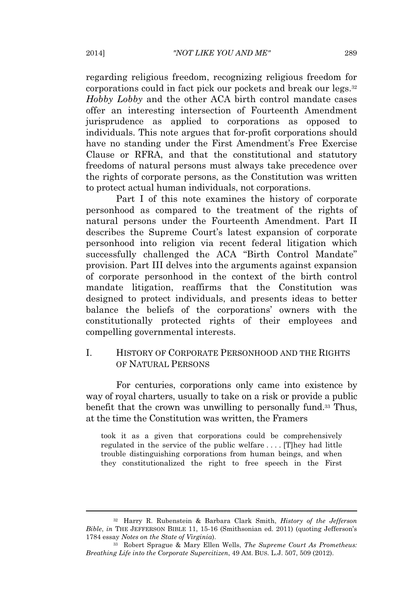regarding religious freedom, recognizing religious freedom for corporations could in fact pick our pockets and break our legs.<sup>32</sup> *Hobby Lobby* and the other ACA birth control mandate cases offer an interesting intersection of Fourteenth Amendment jurisprudence as applied to corporations as opposed to individuals. This note argues that for-profit corporations should have no standing under the First Amendment's Free Exercise Clause or RFRA, and that the constitutional and statutory freedoms of natural persons must always take precedence over the rights of corporate persons, as the Constitution was written to protect actual human individuals, not corporations.

Part I of this note examines the history of corporate personhood as compared to the treatment of the rights of natural persons under the Fourteenth Amendment. Part II describes the Supreme Court's latest expansion of corporate personhood into religion via recent federal litigation which successfully challenged the ACA "Birth Control Mandate" provision. Part III delves into the arguments against expansion of corporate personhood in the context of the birth control mandate litigation, reaffirms that the Constitution was designed to protect individuals, and presents ideas to better balance the beliefs of the corporations' owners with the constitutionally protected rights of their employees and compelling governmental interests.

#### I. HISTORY OF CORPORATE PERSONHOOD AND THE RIGHTS OF NATURAL PERSONS

For centuries, corporations only came into existence by way of royal charters, usually to take on a risk or provide a public benefit that the crown was unwilling to personally fund.<sup>33</sup> Thus, at the time the Constitution was written, the Framers

took it as a given that corporations could be comprehensively regulated in the service of the public welfare . . . . [T]hey had little trouble distinguishing corporations from human beings, and when they constitutionalized the right to free speech in the First

<sup>32</sup> Harry R. Rubenstein & Barbara Clark Smith, *History of the Jefferson Bible*, *in* THE JEFFERSON BIBLE 11, 15-16 (Smithsonian ed. 2011) (quoting Jefferson's 1784 essay *Notes on the State of Virginia*).

<sup>33</sup> Robert Sprague & Mary Ellen Wells, *The Supreme Court As Prometheus: Breathing Life into the Corporate Supercitizen*, 49 AM. BUS. L.J. 507, 509 (2012).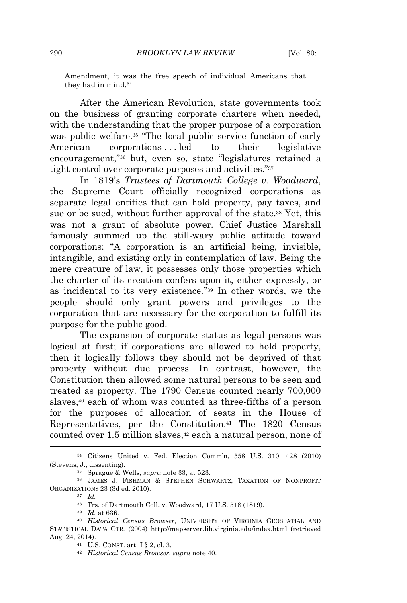Amendment, it was the free speech of individual Americans that they had in mind.<sup>34</sup>

After the American Revolution, state governments took on the business of granting corporate charters when needed, with the understanding that the proper purpose of a corporation was public welfare.<sup>35</sup> "The local public service function of early American corporations ... led to their legislative encouragement," <sup>36</sup> but, even so, state "legislatures retained a tight control over corporate purposes and activities."<sup>37</sup>

In 1819's *Trustees of Dartmouth College v. Woodward*, the Supreme Court officially recognized corporations as separate legal entities that can hold property, pay taxes, and sue or be sued, without further approval of the state.<sup>38</sup> Yet, this was not a grant of absolute power. Chief Justice Marshall famously summed up the still-wary public attitude toward corporations: "A corporation is an artificial being, invisible, intangible, and existing only in contemplation of law. Being the mere creature of law, it possesses only those properties which the charter of its creation confers upon it, either expressly, or as incidental to its very existence." <sup>39</sup> In other words, we the people should only grant powers and privileges to the corporation that are necessary for the corporation to fulfill its purpose for the public good.

The expansion of corporate status as legal persons was logical at first; if corporations are allowed to hold property, then it logically follows they should not be deprived of that property without due process. In contrast, however, the Constitution then allowed some natural persons to be seen and treated as property. The 1790 Census counted nearly 700,000 slaves,<sup>40</sup> each of whom was counted as three-fifths of a person for the purposes of allocation of seats in the House of Representatives, per the Constitution.<sup>41</sup> The 1820 Census counted over 1.5 million slaves,<sup>42</sup> each a natural person, none of

<sup>34</sup> Citizens United v. Fed. Election Comm'n, 558 U.S. 310, 428 (2010) (Stevens, J., dissenting).

<sup>35</sup> Sprague & Wells, *supra* note 33, at 523.

<sup>36</sup> JAMES J. FISHMAN & STEPHEN SCHWARTZ, TAXATION OF NONPROFIT ORGANIZATIONS 23 (3d ed. 2010).

<sup>37</sup> *Id.*

<sup>38</sup> Trs. of Dartmouth Coll. v. Woodward, 17 U.S. 518 (1819).

<sup>39</sup> *Id.* at 636.

<sup>40</sup> *Historical Census Browser*, UNIVERSITY OF VIRGINIA GEOSPATIAL AND STATISTICAL DATA CTR. (2004) http://mapserver.lib.virginia.edu/index.html (retrieved Aug. 24, 2014).

<sup>41</sup> U.S. CONST. art. I § 2, cl. 3.

<sup>42</sup> *Historical Census Browser*, *supra* note 40.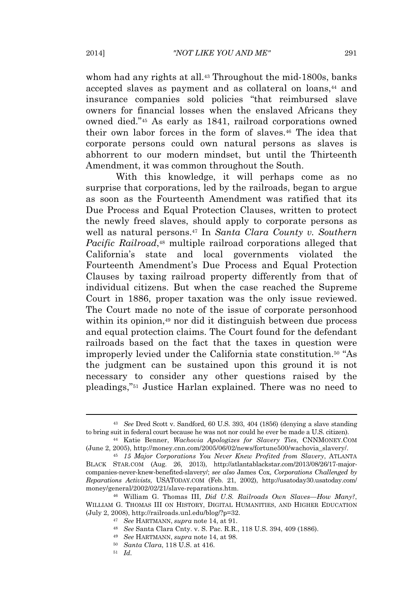whom had any rights at all.<sup>43</sup> Throughout the mid-1800s, banks accepted slaves as payment and as collateral on loans,<sup>44</sup> and insurance companies sold policies "that reimbursed slave owners for financial losses when the enslaved Africans they owned died." <sup>45</sup> As early as 1841, railroad corporations owned their own labor forces in the form of slaves.<sup>46</sup> The idea that corporate persons could own natural persons as slaves is abhorrent to our modern mindset, but until the Thirteenth Amendment, it was common throughout the South.

With this knowledge, it will perhaps come as no surprise that corporations, led by the railroads, began to argue as soon as the Fourteenth Amendment was ratified that its Due Process and Equal Protection Clauses, written to protect the newly freed slaves, should apply to corporate persons as well as natural persons.<sup>47</sup> In *Santa Clara County v. Southern Pacific Railroad*, <sup>48</sup> multiple railroad corporations alleged that California's state and local governments violated the Fourteenth Amendment's Due Process and Equal Protection Clauses by taxing railroad property differently from that of individual citizens. But when the case reached the Supreme Court in 1886, proper taxation was the only issue reviewed. The Court made no note of the issue of corporate personhood within its opinion,<sup>49</sup> nor did it distinguish between due process and equal protection claims. The Court found for the defendant railroads based on the fact that the taxes in question were improperly levied under the California state constitution.<sup>50</sup> "As the judgment can be sustained upon this ground it is not necessary to consider any other questions raised by the pleadings," <sup>51</sup> Justice Harlan explained. There was no need to

<sup>50</sup> *Santa Clara*, 118 U.S. at 416.

<sup>43</sup> *See* Dred Scott v. Sandford, 60 U.S. 393, 404 (1856) (denying a slave standing to bring suit in federal court because he was not nor could he ever be made a U.S. citizen).

<sup>44</sup> Katie Benner, *Wachovia Apologizes for Slavery Ties*, CNNMONEY.COM (June 2, 2005), http://money.cnn.com/2005/06/02/news/fortune500/wachovia\_slavery/.

<sup>45</sup> *15 Major Corporations You Never Knew Profited from Slavery*, ATLANTA BLACK STAR.COM (Aug. 26, 2013), http://atlantablackstar.com/2013/08/26/17-majorcompanies-never-knew-benefited-slavery/; *see also* James Cox, *Corporations Challenged by Reparations Activists*, USATODAY.COM (Feb. 21, 2002), http://usatoday30.usatoday.com/ money/general/2002/02/21/slave-reparations.htm.

<sup>46</sup> William G. Thomas III, *Did U.S. Railroads Own Slaves—How Many?*, WILLIAM G. THOMAS III ON HISTORY, DIGITAL HUMANITIES, AND HIGHER EDUCATION (July 2, 2008), http://railroads.unl.edu/blog/?p=32.

<sup>47</sup> *See* HARTMANN, *supra* note 14, at 91.

<sup>48</sup> *See* Santa Clara Cnty. v. S. Pac. R.R., 118 U.S. 394, 409 (1886).

<sup>49</sup> *See* HARTMANN, *supra* note 14, at 98.

<sup>51</sup> *Id.*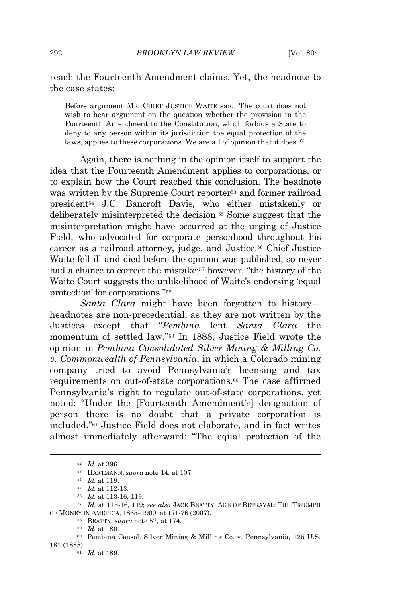reach the Fourteenth Amendment claims. Yet, the headnote to the case states:

Before argument MR. CHIEF JUSTICE WAITE said: The court does not wish to hear argument on the question whether the provision in the Fourteenth Amendment to the Constitution, which forbids a State to deny to any person within its jurisdiction the equal protection of the laws, applies to these corporations. We are all of opinion that it does.<sup>52</sup>

Again, there is nothing in the opinion itself to support the idea that the Fourteenth Amendment applies to corporations, or to explain how the Court reached this conclusion. The headnote was written by the Supreme Court reporter<sup>53</sup> and former railroad president<sup>54</sup> J.C. Bancroft Davis, who either mistakenly or deliberately misinterpreted the decision.<sup>55</sup> Some suggest that the misinterpretation might have occurred at the urging of Justice Field, who advocated for corporate personhood throughout his career as a railroad attorney, judge, and Justice.<sup>56</sup> Chief Justice Waite fell ill and died before the opinion was published, so never had a chance to correct the mistake;<sup>57</sup> however, "the history of the Waite Court suggests the unlikelihood of Waite's endorsing 'equal protection' for corporations." 58

*Santa Clara* might have been forgotten to history headnotes are non-precedential, as they are not written by the Justices—except that "*Pembina* lent *Santa Clara* the momentum of settled law." <sup>59</sup> In 1888, Justice Field wrote the opinion in *Pembina Consolidated Silver Mining & Milling Co. v. Commonwealth of Pennsylvania*, in which a Colorado mining company tried to avoid Pennsylvania's licensing and tax requirements on out-of-state corporations.<sup>60</sup> The case affirmed Pennsylvania's right to regulate out-of-state corporations, yet noted: "Under the [Fourteenth Amendment's] designation of person there is no doubt that a private corporation is included." <sup>61</sup> Justice Field does not elaborate, and in fact writes almost immediately afterward: "The equal protection of the

<sup>52</sup> *Id.* at 396.

<sup>53</sup> HARTMANN, *supra* note 14, at 107.

<sup>54</sup> *Id.* at 119.

<sup>55</sup> *Id.* at 112-13.

<sup>56</sup> *Id.* at 113-16, 119.

<sup>57</sup> *Id.* at 115-16, 119; *see also* JACK BEATTY, AGE OF BETRAYAL: THE TRIUMPH OF MONEY IN AMERICA, 1865–1900, at 171-76 (2007).

<sup>58</sup> BEATTY, *supra* note 57, at 174.

<sup>59</sup> *Id.* at 180.

<sup>60</sup> Pembina Consol. Silver Mining & Milling Co. v. Pennsylvania, 125 U.S. 181 (1888).

<sup>61</sup> *Id.* at 189.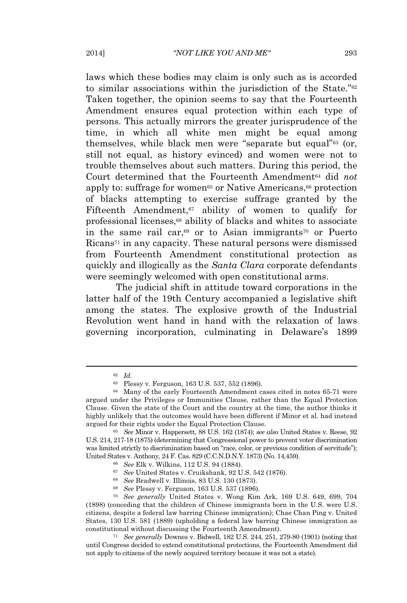laws which these bodies may claim is only such as is accorded to similar associations within the jurisdiction of the State."<sup>62</sup> Taken together, the opinion seems to say that the Fourteenth Amendment ensures equal protection within each type of persons. This actually mirrors the greater jurisprudence of the time, in which all white men might be equal among themselves, while black men were "separate but equal" <sup>63</sup> (or, still not equal, as history evinced) and women were not to trouble themselves about such matters. During this period, the Court determined that the Fourteenth Amendment<sup>64</sup> did *not* apply to: suffrage for women<sup>65</sup> or Native Americans,<sup>66</sup> protection of blacks attempting to exercise suffrage granted by the Fifteenth Amendment, $67$  ability of women to qualify for professional licenses,<sup>68</sup> ability of blacks and whites to associate in the same rail car,<sup>69</sup> or to Asian immigrants<sup>70</sup> or Puerto Ricans<sup>71</sup> in any capacity. These natural persons were dismissed from Fourteenth Amendment constitutional protection as quickly and illogically as the *Santa Clara* corporate defendants were seemingly welcomed with open constitutional arms.

The judicial shift in attitude toward corporations in the latter half of the 19th Century accompanied a legislative shift among the states. The explosive growth of the Industrial Revolution went hand in hand with the relaxation of laws governing incorporation, culminating in Delaware's 1899

<sup>62</sup> *Id.*

<sup>63</sup> Plessy v. Ferguson, 163 U.S. 537, 552 (1896).

<sup>64</sup> Many of the early Fourteenth Amendment cases cited in notes 65-71 were argued under the Privileges or Immunities Clause, rather than the Equal Protection Clause. Given the state of the Court and the country at the time, the author thinks it highly unlikely that the outcomes would have been different if Minor et al. had instead argued for their rights under the Equal Protection Clause.

<sup>65</sup> *See* Minor v. Happersett, 88 U.S. 162 (1874); *see also* United States v. Reese, 92 U.S. 214, 217-18 (1875) (determining that Congressional power to prevent voter discrimination was limited strictly to discrimination based on "race, color, or previous condition of servitude"); United States v. Anthony, 24 F. Cas. 829 (C.C.N.D.N.Y. 1873) (No. 14,459).

<sup>66</sup> *See* Elk v. Wilkins, 112 U.S. 94 (1884).

<sup>67</sup> *See* United States v. Cruikshank, 92 U.S. 542 (1876).

<sup>68</sup> *See* Bradwell v. Illinois, 83 U.S. 130 (1873).

<sup>69</sup> *See* Plessy v. Ferguson, 163 U.S. 537 (1896).

<sup>70</sup> *See generally* United States v. Wong Kim Ark, 169 U.S. 649, 699, 704 (1898) (conceding that the children of Chinese immigrants born in the U.S. were U.S. citizens, despite a federal law barring Chinese immigration); Chae Chan Ping v. United States, 130 U.S. 581 (1889) (upholding a federal law barring Chinese immigration as constitutional without discussing the Fourteenth Amendment).

<sup>71</sup> *See generally* Downes v. Bidwell, 182 U.S. 244, 251, 279-80 (1901) (noting that until Congress decided to extend constitutional protections, the Fourteenth Amendment did not apply to citizens of the newly acquired territory because it was not a state).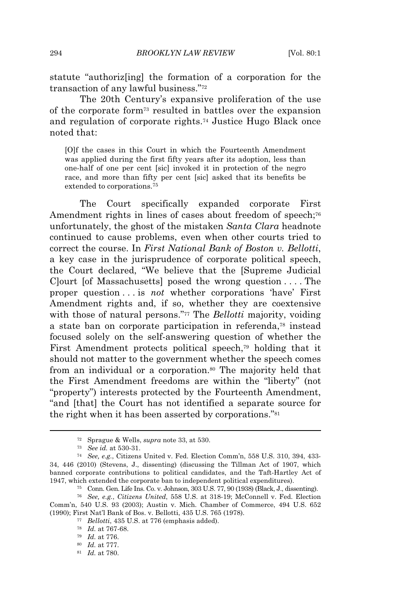statute "authoriz[ing] the formation of a corporation for the transaction of any lawful business."<sup>72</sup>

The 20th Century's expansive proliferation of the use of the corporate form<sup>73</sup> resulted in battles over the expansion and regulation of corporate rights.<sup>74</sup> Justice Hugo Black once noted that:

[O]f the cases in this Court in which the Fourteenth Amendment was applied during the first fifty years after its adoption, less than one-half of one per cent [sic] invoked it in protection of the negro race, and more than fifty per cent [sic] asked that its benefits be extended to corporations.<sup>75</sup>

The Court specifically expanded corporate First Amendment rights in lines of cases about freedom of speech;<sup>76</sup> unfortunately, the ghost of the mistaken *Santa Clara* headnote continued to cause problems, even when other courts tried to correct the course. In *First National Bank of Boston v. Bellotti*, a key case in the jurisprudence of corporate political speech, the Court declared, "We believe that the [Supreme Judicial C]ourt [of Massachusetts] posed the wrong question . . . . The proper question . . . is *not* whether corporations 'have' First Amendment rights and, if so, whether they are coextensive with those of natural persons." <sup>77</sup> The *Bellotti* majority, voiding a state ban on corporate participation in referenda,<sup>78</sup> instead focused solely on the self-answering question of whether the First Amendment protects political speech,<sup>79</sup> holding that it should not matter to the government whether the speech comes from an individual or a corporation.<sup>80</sup> The majority held that the First Amendment freedoms are within the "liberty" (not "property") interests protected by the Fourteenth Amendment, "and [that] the Court has not identified a separate source for the right when it has been asserted by corporations."<sup>81</sup>

<sup>72</sup> Sprague & Wells, *supra* note 33, at 530.

<sup>73</sup> *See id.* at 530-31.

<sup>74</sup> *See, e.g.*, Citizens United v. Fed. Election Comm'n, 558 U.S. 310, 394, 433- 34, 446 (2010) (Stevens, J., dissenting) (discussing the Tillman Act of 1907, which banned corporate contributions to political candidates, and the Taft-Hartley Act of 1947, which extended the corporate ban to independent political expenditures).

<sup>75</sup> Conn. Gen. Life Ins. Co. v. Johnson, 303 U.S. 77, 90 (1938) (Black, J., dissenting).

<sup>76</sup> *See, e.g.*, *Citizens United*, 558 U.S. at 318-19; McConnell v. Fed. Election Comm'n, 540 U.S. 93 (2003); Austin v. Mich. Chamber of Commerce, 494 U.S. 652 (1990); First Nat'l Bank of Bos. v. Bellotti, 435 U.S. 765 (1978).

<sup>77</sup> *Bellotti*, 435 U.S. at 776 (emphasis added).

<sup>78</sup> *Id.* at 767-68.

<sup>79</sup> *Id.* at 776.

<sup>80</sup> *Id.* at 777.

<sup>81</sup> *Id.* at 780.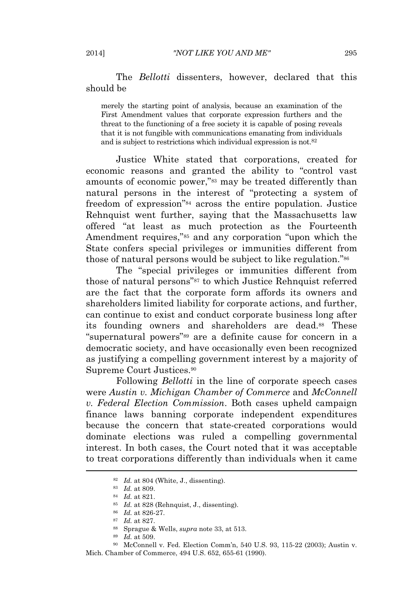The *Bellotti* dissenters, however, declared that this should be

merely the starting point of analysis, because an examination of the First Amendment values that corporate expression furthers and the threat to the functioning of a free society it is capable of posing reveals that it is not fungible with communications emanating from individuals and is subject to restrictions which individual expression is not.<sup>82</sup>

Justice White stated that corporations, created for economic reasons and granted the ability to "control vast amounts of economic power," <sup>83</sup> may be treated differently than natural persons in the interest of "protecting a system of freedom of expression"<sup>84</sup> across the entire population. Justice Rehnquist went further, saying that the Massachusetts law offered "at least as much protection as the Fourteenth Amendment requires," <sup>85</sup> and any corporation "upon which the State confers special privileges or immunities different from those of natural persons would be subject to like regulation."<sup>86</sup>

The "special privileges or immunities different from those of natural persons" <sup>87</sup> to which Justice Rehnquist referred are the fact that the corporate form affords its owners and shareholders limited liability for corporate actions, and further, can continue to exist and conduct corporate business long after its founding owners and shareholders are dead.88 These "supernatural powers" <sup>89</sup> are a definite cause for concern in a democratic society, and have occasionally even been recognized as justifying a compelling government interest by a majority of Supreme Court Justices.<sup>90</sup>

Following *Bellotti* in the line of corporate speech cases were *Austin v. Michigan Chamber of Commerce* and *McConnell v. Federal Election Commission*. Both cases upheld campaign finance laws banning corporate independent expenditures because the concern that state-created corporations would dominate elections was ruled a compelling governmental interest. In both cases, the Court noted that it was acceptable to treat corporations differently than individuals when it came

<sup>82</sup> *Id.* at 804 (White, J., dissenting).

<sup>83</sup> *Id.* at 809.

<sup>84</sup> *Id.* at 821.

<sup>85</sup> *Id.* at 828 (Rehnquist, J., dissenting).

<sup>86</sup> *Id.* at 826-27.

<sup>87</sup> *Id.* at 827.

<sup>88</sup> Sprague & Wells, *supra* note 33, at 513.

<sup>89</sup> *Id.* at 509.

<sup>90</sup> McConnell v. Fed. Election Comm'n, 540 U.S. 93, 115-22 (2003); Austin v. Mich. Chamber of Commerce, 494 U.S. 652, 655-61 (1990).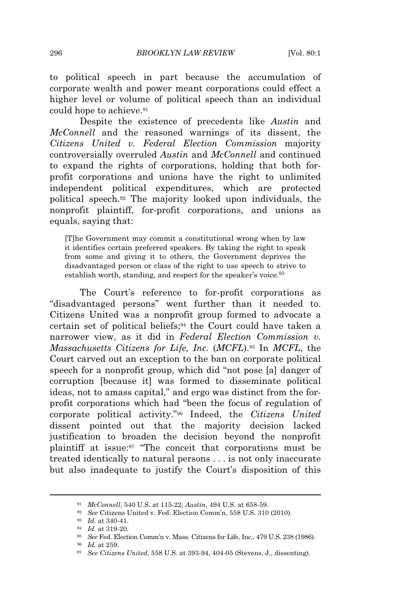to political speech in part because the accumulation of corporate wealth and power meant corporations could effect a higher level or volume of political speech than an individual could hope to achieve.<sup>91</sup>

Despite the existence of precedents like *Austin* and *McConnell* and the reasoned warnings of its dissent, the *Citizens United v. Federal Election Commission* majority controversially overruled *Austin* and *McConnell* and continued to expand the rights of corporations, holding that both forprofit corporations and unions have the right to unlimited independent political expenditures, which are protected political speech.<sup>92</sup> The majority looked upon individuals, the nonprofit plaintiff, for-profit corporations, and unions as equals, saying that:

[T]he Government may commit a constitutional wrong when by law it identifies certain preferred speakers. By taking the right to speak from some and giving it to others, the Government deprives the disadvantaged person or class of the right to use speech to strive to establish worth, standing, and respect for the speaker's voice.<sup>93</sup>

The Court's reference to for-profit corporations as "disadvantaged persons" went further than it needed to. Citizens United was a nonprofit group formed to advocate a certain set of political beliefs;<sup>94</sup> the Court could have taken a narrower view, as it did in *Federal Election Commission v. Massachusetts Citizens for Life, Inc.* (*MCFL*).<sup>95</sup> In *MCFL*, the Court carved out an exception to the ban on corporate political speech for a nonprofit group, which did "not pose [a] danger of corruption [because it] was formed to disseminate political ideas, not to amass capital," and ergo was distinct from the forprofit corporations which had "been the focus of regulation of corporate political activity." <sup>96</sup> Indeed, the *Citizens United* dissent pointed out that the majority decision lacked justification to broaden the decision beyond the nonprofit plaintiff at issue:<sup>97</sup> "The conceit that corporations must be treated identically to natural persons . . . is not only inaccurate but also inadequate to justify the Court's disposition of this

<sup>91</sup> *McConnell*, 540 U.S. at 115-22; *Austin*, 494 U.S. at 658-59.

<sup>92</sup> *See* Citizens United v. Fed. Election Comm'n, 558 U.S. 310 (2010).

<sup>93</sup> *Id.* at 340-41.

<sup>94</sup> *Id.* at 319-20.

<sup>95</sup> *See* Fed. Election Comm'n v. Mass. Citizens for Life, Inc., 479 U.S. 238 (1986).

<sup>96</sup> *Id.* at 259.

<sup>97</sup> *See Citizens United*, 558 U.S. at 393-94, 404-05 (Stevens, J., dissenting).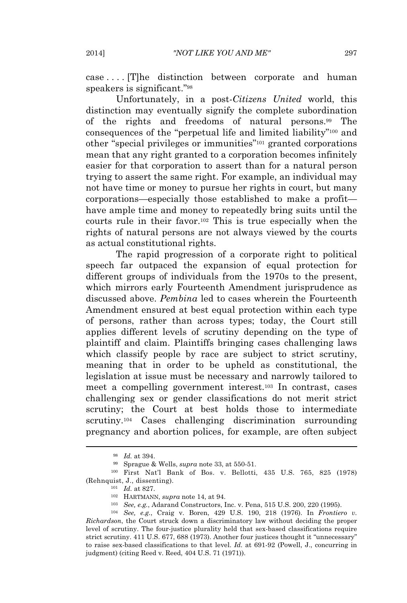case . . . . [T]he distinction between corporate and human speakers is significant."<sup>98</sup>

Unfortunately, in a post-*Citizens United* world, this distinction may eventually signify the complete subordination of the rights and freedoms of natural persons.<sup>99</sup> The consequences of the "perpetual life and limited liability"<sup>100</sup> and other "special privileges or immunities" <sup>101</sup> granted corporations mean that any right granted to a corporation becomes infinitely easier for that corporation to assert than for a natural person trying to assert the same right. For example, an individual may not have time or money to pursue her rights in court, but many corporations—especially those established to make a profit have ample time and money to repeatedly bring suits until the courts rule in their favor.<sup>102</sup> This is true especially when the rights of natural persons are not always viewed by the courts as actual constitutional rights.

The rapid progression of a corporate right to political speech far outpaced the expansion of equal protection for different groups of individuals from the 1970s to the present, which mirrors early Fourteenth Amendment jurisprudence as discussed above. *Pembina* led to cases wherein the Fourteenth Amendment ensured at best equal protection within each type of persons, rather than across types; today, the Court still applies different levels of scrutiny depending on the type of plaintiff and claim. Plaintiffs bringing cases challenging laws which classify people by race are subject to strict scrutiny, meaning that in order to be upheld as constitutional, the legislation at issue must be necessary and narrowly tailored to meet a compelling government interest.<sup>103</sup> In contrast, cases challenging sex or gender classifications do not merit strict scrutiny; the Court at best holds those to intermediate scrutiny.<sup>104</sup> Cases challenging discrimination surrounding pregnancy and abortion polices, for example, are often subject

<sup>98</sup> *Id.* at 394.

<sup>99</sup> Sprague & Wells, *supra* note 33, at 550-51.

<sup>100</sup> First Nat'l Bank of Bos. v. Bellotti, 435 U.S. 765, 825 (1978) (Rehnquist, J., dissenting).

<sup>101</sup> *Id.* at 827.

<sup>102</sup> HARTMANN, *supra* note 14, at 94.

<sup>103</sup> *See, e.g.*, Adarand Constructors, Inc. v. Pena, 515 U.S. 200, 220 (1995).

<sup>104</sup> *See, e.g.*, Craig v. Boren, 429 U.S. 190, 218 (1976). In *Frontiero v. Richardson*, the Court struck down a discriminatory law without deciding the proper level of scrutiny. The four-justice plurality held that sex-based classifications require strict scrutiny. 411 U.S. 677, 688 (1973). Another four justices thought it "unnecessary" to raise sex-based classifications to that level. *Id.* at 691-92 (Powell, J., concurring in judgment) (citing Reed v. Reed, 404 U.S. 71 (1971)).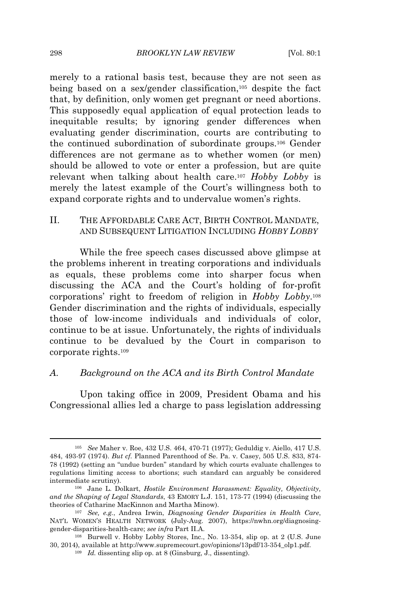merely to a rational basis test, because they are not seen as being based on a sex/gender classification,<sup>105</sup> despite the fact that, by definition, only women get pregnant or need abortions. This supposedly equal application of equal protection leads to inequitable results; by ignoring gender differences when evaluating gender discrimination, courts are contributing to the continued subordination of subordinate groups.<sup>106</sup> Gender differences are not germane as to whether women (or men) should be allowed to vote or enter a profession, but are quite relevant when talking about health care.<sup>107</sup> *Hobby Lobby* is merely the latest example of the Court's willingness both to expand corporate rights and to undervalue women's rights.

## II. THE AFFORDABLE CARE ACT, BIRTH CONTROL MANDATE, AND SUBSEQUENT LITIGATION INCLUDING *HOBBY LOBBY*

While the free speech cases discussed above glimpse at the problems inherent in treating corporations and individuals as equals, these problems come into sharper focus when discussing the ACA and the Court's holding of for-profit corporations' right to freedom of religion in *Hobby Lobby*. 108 Gender discrimination and the rights of individuals, especially those of low-income individuals and individuals of color, continue to be at issue. Unfortunately, the rights of individuals continue to be devalued by the Court in comparison to corporate rights.<sup>109</sup>

#### *A. Background on the ACA and its Birth Control Mandate*

Upon taking office in 2009, President Obama and his Congressional allies led a charge to pass legislation addressing

<sup>105</sup> *See* Maher v. Roe, 432 U.S. 464, 470-71 (1977); Geduldig v. Aiello, 417 U.S. 484, 493-97 (1974). *But cf.* Planned Parenthood of Se. Pa. v. Casey, 505 U.S. 833, 874- 78 (1992) (setting an "undue burden" standard by which courts evaluate challenges to regulations limiting access to abortions; such standard can arguably be considered intermediate scrutiny).

<sup>106</sup> Jane L. Dolkart, *Hostile Environment Harassment: Equality, Objectivity, and the Shaping of Legal Standards*, 43 EMORY L.J. 151, 173-77 (1994) (discussing the theories of Catharine MacKinnon and Martha Minow).

<sup>107</sup> *See, e.g.*, Andrea Irwin, *Diagnosing Gender Disparities in Health Care*, NAT'<sup>L</sup> WOMEN'<sup>S</sup> HEALTH NETWORK (July-Aug. 2007), https://nwhn.org/diagnosinggender-disparities-health-care; *see infra* Part II.A.

<sup>108</sup> Burwell v. Hobby Lobby Stores, Inc., No. 13-354, slip op. at 2 (U.S. June 30, 2014), available at http://www.supremecourt.gov/opinions/13pdf/13-354\_olp1.pdf.

<sup>109</sup> *Id.* dissenting slip op. at 8 (Ginsburg, J., dissenting).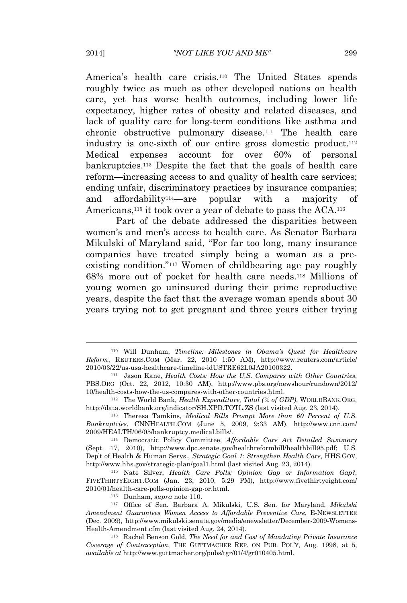America's health care crisis.<sup>110</sup> The United States spends roughly twice as much as other developed nations on health care, yet has worse health outcomes, including lower life expectancy, higher rates of obesity and related diseases, and lack of quality care for long-term conditions like asthma and chronic obstructive pulmonary disease.<sup>111</sup> The health care industry is one-sixth of our entire gross domestic product.<sup>112</sup> Medical expenses account for over 60% of personal bankruptcies.<sup>113</sup> Despite the fact that the goals of health care reform—increasing access to and quality of health care services; ending unfair, discriminatory practices by insurance companies; and affordability114—are popular with a majority of Americans,<sup>115</sup> it took over a year of debate to pass the ACA.<sup>116</sup>

Part of the debate addressed the disparities between women's and men's access to health care. As Senator Barbara Mikulski of Maryland said, "For far too long, many insurance companies have treated simply being a woman as a preexisting condition."<sup>117</sup> Women of childbearing age pay roughly 68% more out of pocket for health care needs.<sup>118</sup> Millions of young women go uninsured during their prime reproductive years, despite the fact that the average woman spends about 30 years trying not to get pregnant and three years either trying

<sup>115</sup> Nate Silver, *Health Care Polls: Opinion Gap or Information Gap?*, FIVETHIRTYEIGHT.COM (Jan. 23, 2010, 5:29 PM), http://www.fivethirtyeight.com/ 2010/01/health-care-polls-opinion-gap-or.html.

<sup>116</sup> Dunham, *supra* note 110.

<sup>110</sup> Will Dunham, *Timeline: Milestones in Obama's Quest for Healthcare Reform*, REUTERS.COM (Mar. 22, 2010 1:50 AM), http://www.reuters.com/article/ 2010/03/22/us-usa-healthcare-timeline-idUSTRE62L0JA20100322.

<sup>111</sup> Jason Kane, *Health Costs: How the U.S. Compares with Other Countries*, PBS.ORG (Oct. 22, 2012, 10:30 AM), http://www.pbs.org/newshour/rundown/2012/ 10/health-costs-how-the-us-compares-with-other-countries.html.

<sup>112</sup> The World Bank, *Health Expenditure, Total (% of GDP)*, WORLDBANK.ORG, http://data.worldbank.org/indicator/SH.XPD.TOTL.ZS (last visited Aug. 23, 2014).

<sup>113</sup> Theresa Tamkins, *Medical Bills Prompt More than 60 Percent of U.S. Bankruptcies*, CNNHEALTH.COM (June 5, 2009, 9:33 AM), http://www.cnn.com/ 2009/HEALTH/06/05/bankruptcy.medical.bills/.

<sup>114</sup> Democratic Policy Committee, *Affordable Care Act Detailed Summary* (Sept. 17, 2010), http://www.dpc.senate.gov/healthreformbill/healthbill95.pdf; U.S. Dep't of Health & Human Servs., *Strategic Goal 1: Strengthen Health Care*, HHS.GOV, http://www.hhs.gov/strategic-plan/goal1.html (last visited Aug. 23, 2014).

<sup>117</sup> Office of Sen. Barbara A. Mikulski, U.S. Sen. for Maryland, *Mikulski Amendment Guarantees Women Access to Affordable Preventive Care*, E-NEWSLETTER (Dec. 2009), http://www.mikulski.senate.gov/media/enewsletter/December-2009-Womens-Health-Amendment.cfm (last visited Aug. 24, 2014).

<sup>118</sup> Rachel Benson Gold, *The Need for and Cost of Mandating Private Insurance Coverage of Contraception*, THE GUTTMACHER REP. ON PUB. POL'Y, Aug. 1998, at 5, *available at* http://www.guttmacher.org/pubs/tgr/01/4/gr010405.html.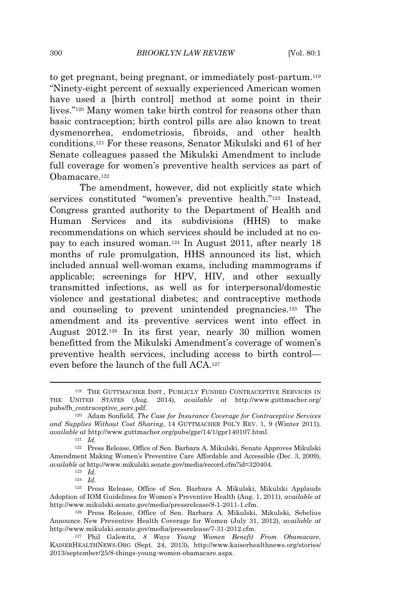to get pregnant, being pregnant, or immediately post-partum.<sup>119</sup> "Ninety-eight percent of sexually experienced American women have used a [birth control] method at some point in their lives." <sup>120</sup> Many women take birth control for reasons other than basic contraception; birth control pills are also known to treat dysmenorrhea, endometriosis, fibroids, and other health conditions.<sup>121</sup> For these reasons, Senator Mikulski and 61 of her Senate colleagues passed the Mikulski Amendment to include full coverage for women's preventive health services as part of Obamacare.<sup>122</sup>

The amendment, however, did not explicitly state which services constituted "women's preventive health."<sup>123</sup> Instead, Congress granted authority to the Department of Health and Human Services and its subdivisions (HHS) to make recommendations on which services should be included at no copay to each insured woman.<sup>124</sup> In August 2011, after nearly 18 months of rule promulgation, HHS announced its list, which included annual well-woman exams, including mammograms if applicable; screenings for HPV, HIV, and other sexually transmitted infections, as well as for interpersonal/domestic violence and gestational diabetes; and contraceptive methods and counseling to prevent unintended pregnancies.<sup>125</sup> The amendment and its preventive services went into effect in August 2012.<sup>126</sup> In its first year, nearly 30 million women benefitted from the Mikulski Amendment's coverage of women's preventive health services, including access to birth control even before the launch of the full ACA.<sup>127</sup>

<sup>124</sup> *Id.*

<sup>119</sup> THE GUTTMACHER INST., PUBLICLY FUNDED CONTRACEPTIVE SERVICES IN THE UNITED STATES (Aug. 2014), *available at* http://www.guttmacher.org/ pubs/fb\_contraceptive\_serv.pdf.

<sup>120</sup> Adam Sonfield, *The Case for Insurance Coverage for Contraceptive Services and Supplies Without Cost Sharing*, 14 GUTTMACHER POL'<sup>Y</sup> REV. 1, 9 (Winter 2011), *available at* http://www.guttmacher.org/pubs/gpr/14/1/gpr140107.html.

<sup>121</sup> *Id.*

<sup>122</sup> Press Release, Office of Sen. Barbara A. Mikulski, Senate Approves Mikulski Amendment Making Women's Preventive Care Affordable and Accessible (Dec. 3, 2009), *available at* http://www.mikulski.senate.gov/media/record.cfm?id=320404.

<sup>123</sup> *Id.*

<sup>125</sup> Press Release, Office of Sen. Barbara A. Mikulski, Mikulski Applauds Adoption of IOM Guidelines for Women's Preventive Health (Aug. 1, 2011), *available at* http://www.mikulski.senate.gov/media/pressrelease/8-1-2011-1.cfm.

<sup>126</sup> Press Release, Office of Sen. Barbara A. Mikulski, Mikulski, Sebelius Announce New Preventive Health Coverage for Women (July 31, 2012), *available at* http://www.mikulski.senate.gov/media/pressrelease/7-31-2012.cfm.

<sup>127</sup> Phil Galewitz, *8 Ways Young Women Benefit From Obamacare*, KAISERHEALTHNEWS.ORG (Sept. 24, 2013), http://www.kaiserhealthnews.org/stories/ 2013/september/25/8-things-young-women-obamacare.aspx.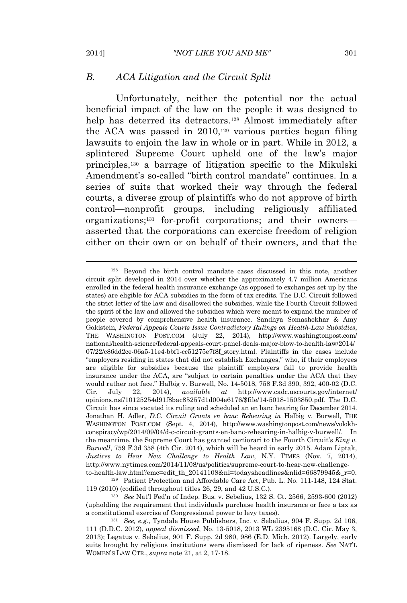#### *B. ACA Litigation and the Circuit Split*

Unfortunately, neither the potential nor the actual beneficial impact of the law on the people it was designed to help has deterred its detractors.<sup>128</sup> Almost immediately after the ACA was passed in 2010,<sup>129</sup> various parties began filing lawsuits to enjoin the law in whole or in part. While in 2012, a splintered Supreme Court upheld one of the law's major principles,<sup>130</sup> a barrage of litigation specific to the Mikulski Amendment's so-called "birth control mandate" continues. In a series of suits that worked their way through the federal courts, a diverse group of plaintiffs who do not approve of birth control—nonprofit groups, including religiously affiliated organizations;<sup>131</sup> for-profit corporations; and their owners asserted that the corporations can exercise freedom of religion either on their own or on behalf of their owners, and that the

<sup>129</sup> Patient Protection and Affordable Care Act, Pub. L. No. 111-148, 124 Stat. 119 (2010) (codified throughout titles 26, 29, and 42 U.S.C.).

<sup>128</sup> Beyond the birth control mandate cases discussed in this note, another circuit split developed in 2014 over whether the approximately 4.7 million Americans enrolled in the federal health insurance exchange (as opposed to exchanges set up by the states) are eligible for ACA subsidies in the form of tax credits. The D.C. Circuit followed the strict letter of the law and disallowed the subsidies, while the Fourth Circuit followed the spirit of the law and allowed the subsidies which were meant to expand the number of people covered by comprehensive health insurance. Sandhya Somashekhar & Amy Goldstein, *Federal Appeals Courts Issue Contradictory Rulings on Health-Law Subsidies*, THE WASHINGTON POST.COM (July 22, 2014), http://www.washingtonpost.com/ national/health-science/federal-appeals-court-panel-deals-major-blow-to-health-law/2014/ 07/22/c86dd2ce-06a5-11e4-bbf1-cc51275e7f8f\_story.html. Plaintiffs in the cases include "employers residing in states that did not establish Exchanges," who, if their employees are eligible for subsidies because the plaintiff employers fail to provide health insurance under the ACA, are "subject to certain penalties under the ACA that they would rather not face." Halbig v. Burwell, No. 14-5018, 758 F.3d 390, 392, 400-02 (D.C. Cir. July 22, 2014), *available at* http://www.cadc.uscourts.gov/internet/ opinions.nsf/10125254d91f8bac85257d1d004e6176/\$file/14-5018-1503850.pdf. The D.C. Circuit has since vacated its ruling and scheduled an en banc hearing for December 2014. Jonathan H. Adler, *D.C. Circuit Grants en banc Rehearing in* Halbig v. Burwell, THE WASHINGTON POST.COM (Sept. 4, 2014), http://www.washingtonpost.com/news/volokhconspiracy/wp/2014/09/04/d-c-circuit-grants-en-banc-rehearing-in-halbig-v-burwell/. In the meantime, the Supreme Court has granted certiorari to the Fourth Circuit's *King v. Burwell*, 759 F.3d 358 (4th Cir. 2014), which will be heard in early 2015. Adam Liptak, *Justices to Hear New Challenge to Health Law*, N.Y. TIMES (Nov. 7, 2014), http://www.nytimes.com/2014/11/08/us/politics/supreme-court-to-hear-new-challengeto-health-law.html?emc=edit\_th\_20141108&nl=todaysheadlines&nlid=66879945&\_r=0.

<sup>130</sup> *See* Nat'l Fed'n of Indep. Bus. v. Sebelius, 132 S. Ct. 2566, 2593-600 (2012) (upholding the requirement that individuals purchase health insurance or face a tax as a constitutional exercise of Congressional power to levy taxes).

<sup>131</sup> *See, e.g.*, Tyndale House Publishers, Inc. v. Sebelius, 904 F. Supp. 2d 106, 111 (D.D.C. 2012), *appeal dismissed*, No. 13-5018, 2013 WL 2395168 (D.C. Cir. May 3, 2013); Legatus v. Sebelius, 901 F. Supp. 2d 980, 986 (E.D. Mich. 2012). Largely, early suits brought by religious institutions were dismissed for lack of ripeness. *See* NAT'<sup>L</sup> WOMEN'<sup>S</sup> LAW CTR., *supra* note 21, at 2, 17-18.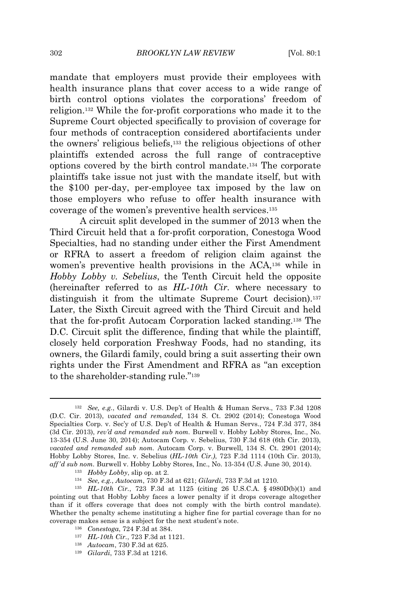mandate that employers must provide their employees with health insurance plans that cover access to a wide range of birth control options violates the corporations' freedom of religion.<sup>132</sup> While the for-profit corporations who made it to the Supreme Court objected specifically to provision of coverage for four methods of contraception considered abortifacients under the owners' religious beliefs,<sup>133</sup> the religious objections of other plaintiffs extended across the full range of contraceptive options covered by the birth control mandate.<sup>134</sup> The corporate plaintiffs take issue not just with the mandate itself, but with the \$100 per-day, per-employee tax imposed by the law on those employers who refuse to offer health insurance with coverage of the women's preventive health services.<sup>135</sup>

A circuit split developed in the summer of 2013 when the Third Circuit held that a for-profit corporation, Conestoga Wood Specialties, had no standing under either the First Amendment or RFRA to assert a freedom of religion claim against the women's preventive health provisions in the ACA,<sup>136</sup> while in *Hobby Lobby v. Sebelius*, the Tenth Circuit held the opposite (hereinafter referred to as *HL-10th Cir.* where necessary to distinguish it from the ultimate Supreme Court decision).<sup>137</sup> Later, the Sixth Circuit agreed with the Third Circuit and held that the for-profit Autocam Corporation lacked standing.<sup>138</sup> The D.C. Circuit split the difference, finding that while the plaintiff, closely held corporation Freshway Foods, had no standing, its owners, the Gilardi family, could bring a suit asserting their own rights under the First Amendment and RFRA as "an exception to the shareholder-standing rule."<sup>139</sup>

<sup>133</sup> *Hobby Lobby*, slip op. at 2.

- <sup>136</sup> *Conestoga*, 724 F.3d at 384.
- <sup>137</sup> *HL-10th Cir.*, 723 F.3d at 1121.
- <sup>138</sup> *Autocam*, 730 F.3d at 625.
- <sup>139</sup> *Gilardi*, 733 F.3d at 1216.

<sup>132</sup> *See, e.g.*, Gilardi v. U.S. Dep't of Health & Human Servs., 733 F.3d 1208 (D.C. Cir. 2013), *vacated and remanded*, 134 S. Ct. 2902 (2014); Conestoga Wood Specialties Corp. v. Sec'y of U.S. Dep't of Health & Human Servs., 724 F.3d 377, 384 (3d Cir. 2013), *rev'd and remanded sub nom.* Burwell v. Hobby Lobby Stores, Inc., No. 13-354 (U.S. June 30, 2014); Autocam Corp. v. Sebelius, 730 F.3d 618 (6th Cir. 2013), *vacated and remanded sub nom.* Autocam Corp. v. Burwell, 134 S. Ct. 2901 (2014); Hobby Lobby Stores, Inc. v. Sebelius (*HL-10th Cir.)*, 723 F.3d 1114 (10th Cir. 2013), *aff'd sub nom.* Burwell v. Hobby Lobby Stores, Inc., No. 13-354 (U.S. June 30, 2014).

<sup>134</sup> *See, e.g.*, *Autocam*, 730 F.3d at 621; *Gilardi*, 733 F.3d at 1210.

<sup>135</sup> *HL-10th Cir.*, 723 F.3d at 1125 (citing 26 U.S.C.A. § 4980D(b)(1) and pointing out that Hobby Lobby faces a lower penalty if it drops coverage altogether than if it offers coverage that does not comply with the birth control mandate). Whether the penalty scheme instituting a higher fine for partial coverage than for no coverage makes sense is a subject for the next student's note.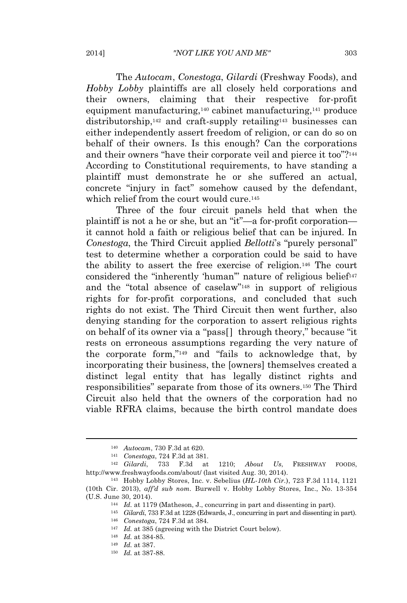The *Autocam*, *Conestoga*, *Gilardi* (Freshway Foods), and *Hobby Lobby* plaintiffs are all closely held corporations and their owners, claiming that their respective for-profit equipment manufacturing,<sup>140</sup> cabinet manufacturing,<sup>141</sup> produce distributorship,<sup>142</sup> and craft-supply retailing<sup>143</sup> businesses can either independently assert freedom of religion, or can do so on behalf of their owners. Is this enough? Can the corporations and their owners "have their corporate veil and pierce it too"?<sup>144</sup> According to Constitutional requirements, to have standing a plaintiff must demonstrate he or she suffered an actual, concrete "injury in fact" somehow caused by the defendant, which relief from the court would cure.<sup>145</sup>

Three of the four circuit panels held that when the plaintiff is not a he or she, but an "it"—a for-profit corporation it cannot hold a faith or religious belief that can be injured. In *Conestoga*, the Third Circuit applied *Bellotti*'s "purely personal" test to determine whether a corporation could be said to have the ability to assert the free exercise of religion.<sup>146</sup> The court considered the "inherently 'human" nature of religious belief<sup>147</sup> and the "total absence of caselaw" <sup>148</sup> in support of religious rights for for-profit corporations, and concluded that such rights do not exist. The Third Circuit then went further, also denying standing for the corporation to assert religious rights on behalf of its owner via a "pass[ ] through theory," because "it rests on erroneous assumptions regarding the very nature of the corporate form," <sup>149</sup> and "fails to acknowledge that, by incorporating their business, the [owners] themselves created a distinct legal entity that has legally distinct rights and responsibilities" separate from those of its owners.<sup>150</sup> The Third Circuit also held that the owners of the corporation had no viable RFRA claims, because the birth control mandate does

<sup>140</sup> *Autocam*, 730 F.3d at 620.

<sup>141</sup> *Conestoga*, 724 F.3d at 381.

<sup>142</sup> *Gilardi*, 733 F.3d at 1210; *About Us*, FRESHWAY FOODS, http://www.freshwayfoods.com/about/ (last visited Aug. 30, 2014).

<sup>143</sup> Hobby Lobby Stores, Inc. v. Sebelius (*HL-10th Cir.*), 723 F.3d 1114, 1121 (10th Cir. 2013), *aff'd sub nom.* Burwell v. Hobby Lobby Stores, Inc., No. 13-354 (U.S. June 30, 2014).

<sup>144</sup> *Id.* at 1179 (Matheson, J., concurring in part and dissenting in part).

<sup>145</sup> *Gilardi*, 733 F.3d at 1228 (Edwards, J., concurring in part and dissenting in part). <sup>146</sup> *Conestoga*, 724 F.3d at 384.

<sup>147</sup> *Id.* at 385 (agreeing with the District Court below).

<sup>148</sup> *Id.* at 384-85.

<sup>149</sup> *Id.* at 387.

<sup>150</sup> *Id.* at 387-88.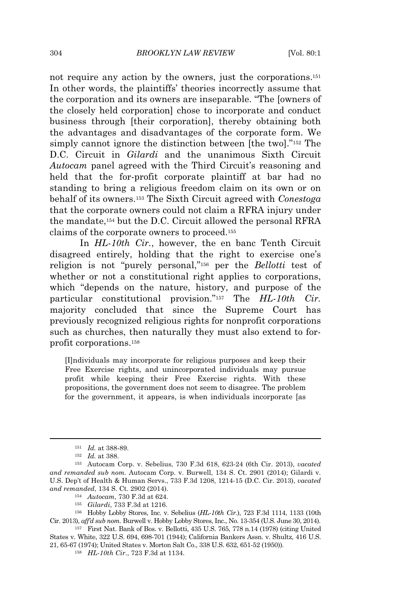not require any action by the owners, just the corporations.<sup>151</sup> In other words, the plaintiffs' theories incorrectly assume that the corporation and its owners are inseparable. "The [owners of the closely held corporation] chose to incorporate and conduct business through [their corporation], thereby obtaining both the advantages and disadvantages of the corporate form. We simply cannot ignore the distinction between [the two]."<sup>152</sup> The D.C. Circuit in *Gilardi* and the unanimous Sixth Circuit *Autocam* panel agreed with the Third Circuit's reasoning and held that the for-profit corporate plaintiff at bar had no standing to bring a religious freedom claim on its own or on behalf of its owners.<sup>153</sup> The Sixth Circuit agreed with *Conestoga* that the corporate owners could not claim a RFRA injury under the mandate,<sup>154</sup> but the D.C. Circuit allowed the personal RFRA claims of the corporate owners to proceed.<sup>155</sup>

In *HL-10th Cir.*, however, the en banc Tenth Circuit disagreed entirely, holding that the right to exercise one's religion is not "purely personal," <sup>156</sup> per the *Bellotti* test of whether or not a constitutional right applies to corporations, which "depends on the nature, history, and purpose of the particular constitutional provision." <sup>157</sup> The *HL-10th Cir.* majority concluded that since the Supreme Court has previously recognized religious rights for nonprofit corporations such as churches, then naturally they must also extend to forprofit corporations.<sup>158</sup>

[I]ndividuals may incorporate for religious purposes and keep their Free Exercise rights, and unincorporated individuals may pursue profit while keeping their Free Exercise rights. With these propositions, the government does not seem to disagree. The problem for the government, it appears, is when individuals incorporate [as

- <sup>154</sup> *Autocam*, 730 F.3d at 624.
- <sup>155</sup> *Gilardi*, 733 F.3d at 1216.

<sup>156</sup> Hobby Lobby Stores, Inc. v. Sebelius (*HL-10th Cir.*), 723 F.3d 1114, 1133 (10th Cir. 2013), *aff'd sub nom.* Burwell v. Hobby Lobby Stores, Inc., No. 13-354 (U.S. June 30, 2014).

<sup>151</sup> *Id.* at 388-89.

<sup>152</sup> *Id.* at 388.

<sup>153</sup> Autocam Corp. v. Sebelius, 730 F.3d 618, 623-24 (6th Cir. 2013), *vacated and remanded sub nom.* Autocam Corp. v. Burwell, 134 S. Ct. 2901 (2014); Gilardi v. U.S. Dep't of Health & Human Servs., 733 F.3d 1208, 1214-15 (D.C. Cir. 2013), *vacated and remanded*, 134 S. Ct. 2902 (2014).

<sup>157</sup> First Nat. Bank of Bos. v. Bellotti, 435 U.S. 765, 778 n.14 (1978) (citing United States v. White, 322 U.S. 694, 698-701 (1944); California Bankers Assn. v. Shultz, 416 U.S. 21, 65-67 (1974); United States v. Morton Salt Co., 338 U.S. 632, 651-52 (1950)).

<sup>158</sup> *HL-10th Cir.*, 723 F.3d at 1134.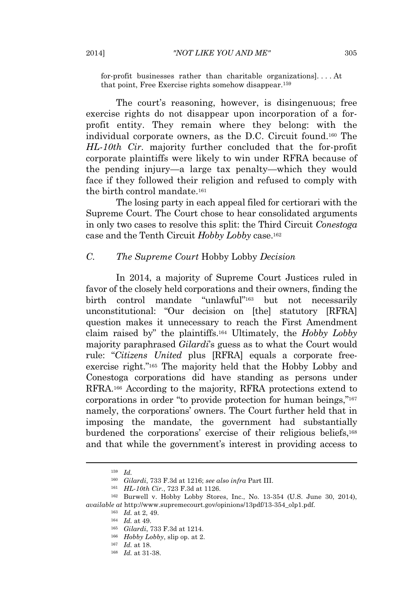for-profit businesses rather than charitable organizations]. . . . At that point, Free Exercise rights somehow disappear.<sup>159</sup>

The court's reasoning, however, is disingenuous; free exercise rights do not disappear upon incorporation of a forprofit entity. They remain where they belong: with the individual corporate owners, as the D.C. Circuit found.<sup>160</sup> The *HL-10th Cir.* majority further concluded that the for-profit corporate plaintiffs were likely to win under RFRA because of the pending injury—a large tax penalty—which they would face if they followed their religion and refused to comply with the birth control mandate.<sup>161</sup>

The losing party in each appeal filed for certiorari with the Supreme Court. The Court chose to hear consolidated arguments in only two cases to resolve this split: the Third Circuit *Conestoga* case and the Tenth Circuit *Hobby Lobby* case.<sup>162</sup>

#### *C. The Supreme Court* Hobby Lobby *Decision*

In 2014, a majority of Supreme Court Justices ruled in favor of the closely held corporations and their owners, finding the birth control mandate "unlawful" <sup>163</sup> but not necessarily unconstitutional: "Our decision on [the] statutory [RFRA] question makes it unnecessary to reach the First Amendment claim raised by" the plaintiffs.<sup>164</sup> Ultimately, the *Hobby Lobby* majority paraphrased *Gilardi*'s guess as to what the Court would rule: "*Citizens United* plus [RFRA] equals a corporate freeexercise right." <sup>165</sup> The majority held that the Hobby Lobby and Conestoga corporations did have standing as persons under RFRA.<sup>166</sup> According to the majority, RFRA protections extend to corporations in order "to provide protection for human beings,"<sup>167</sup> namely, the corporations' owners. The Court further held that in imposing the mandate, the government had substantially burdened the corporations' exercise of their religious beliefs,<sup>168</sup> and that while the government's interest in providing access to

<sup>159</sup> *Id.*

<sup>160</sup> *Gilardi*, 733 F.3d at 1216; *see also infra* Part III.

<sup>161</sup> *HL-10th Cir.*, 723 F.3d at 1126.

<sup>162</sup> Burwell v. Hobby Lobby Stores, Inc., No. 13-354 (U.S. June 30, 2014), *available at* http://www.supremecourt.gov/opinions/13pdf/13-354\_olp1.pdf.

<sup>163</sup> *Id.* at 2, 49.

<sup>164</sup> *Id.* at 49.

<sup>165</sup> *Gilardi*, 733 F.3d at 1214. <sup>166</sup> *Hobby Lobby*, slip op. at 2.

<sup>167</sup> *Id.* at 18.

<sup>168</sup> *Id.* at 31-38.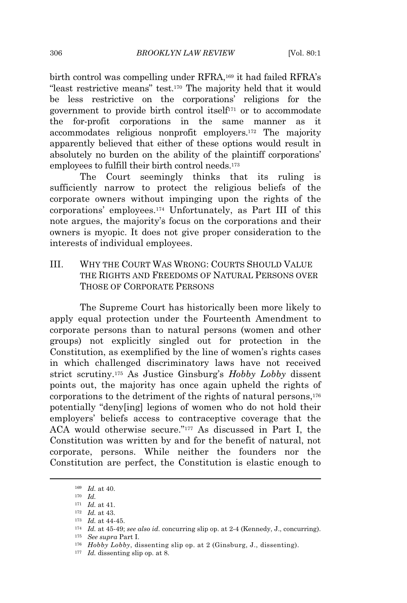birth control was compelling under RFRA,<sup>169</sup> it had failed RFRA's "least restrictive means" test.<sup>170</sup> The majority held that it would be less restrictive on the corporations' religions for the government to provide birth control itself<sup>171</sup> or to accommodate the for-profit corporations in the same manner as it accommodates religious nonprofit employers.<sup>172</sup> The majority apparently believed that either of these options would result in absolutely no burden on the ability of the plaintiff corporations' employees to fulfill their birth control needs.<sup>173</sup>

The Court seemingly thinks that its ruling is sufficiently narrow to protect the religious beliefs of the corporate owners without impinging upon the rights of the corporations' employees.<sup>174</sup> Unfortunately, as Part III of this note argues, the majority's focus on the corporations and their owners is myopic. It does not give proper consideration to the interests of individual employees.

III. WHY THE COURT WAS WRONG: COURTS SHOULD VALUE THE RIGHTS AND FREEDOMS OF NATURAL PERSONS OVER THOSE OF CORPORATE PERSONS

The Supreme Court has historically been more likely to apply equal protection under the Fourteenth Amendment to corporate persons than to natural persons (women and other groups) not explicitly singled out for protection in the Constitution, as exemplified by the line of women's rights cases in which challenged discriminatory laws have not received strict scrutiny.<sup>175</sup> As Justice Ginsburg's *Hobby Lobby* dissent points out, the majority has once again upheld the rights of corporations to the detriment of the rights of natural persons,<sup>176</sup> potentially "deny[ing] legions of women who do not hold their employers' beliefs access to contraceptive coverage that the ACA would otherwise secure." <sup>177</sup> As discussed in Part I, the Constitution was written by and for the benefit of natural, not corporate, persons. While neither the founders nor the Constitution are perfect, the Constitution is elastic enough to

<sup>169</sup> *Id.* at 40.

<sup>170</sup> *Id.*

<sup>171</sup> *Id.* at 41.

<sup>172</sup> *Id.* at 43.

<sup>173</sup> *Id.* at 44-45.

<sup>174</sup> *Id.* at 45-49; *see also id.* concurring slip op. at 2-4 (Kennedy, J., concurring).

<sup>175</sup> *See supra* Part I.

<sup>176</sup> *Hobby Lobby*, dissenting slip op. at 2 (Ginsburg, J., dissenting).

<sup>&</sup>lt;sup>177</sup> *Id.* dissenting slip op. at 8.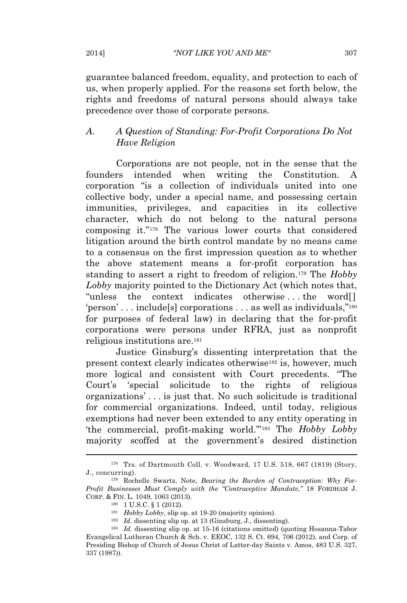guarantee balanced freedom, equality, and protection to each of us, when properly applied. For the reasons set forth below, the rights and freedoms of natural persons should always take precedence over those of corporate persons.

## *A. A Question of Standing: For-Profit Corporations Do Not Have Religion*

Corporations are not people, not in the sense that the founders intended when writing the Constitution. A corporation "is a collection of individuals united into one collective body, under a special name, and possessing certain immunities, privileges, and capacities in its collective character, which do not belong to the natural persons composing it." <sup>178</sup> The various lower courts that considered litigation around the birth control mandate by no means came to a consensus on the first impression question as to whether the above statement means a for-profit corporation has standing to assert a right to freedom of religion.<sup>179</sup> The *Hobby Lobby* majority pointed to the Dictionary Act (which notes that, "unless the context indicates otherwise . . . the word[] 'person' . . . include[s] corporations . . . as well as individuals,"<sup>180</sup> for purposes of federal law) in declaring that the for-profit corporations were persons under RFRA, just as nonprofit religious institutions are.<sup>181</sup>

Justice Ginsburg's dissenting interpretation that the present context clearly indicates otherwise<sup>182</sup> is, however, much more logical and consistent with Court precedents. "The Court's 'special solicitude to the rights of religious organizations' . . . is just that. No such solicitude is traditional for commercial organizations. Indeed, until today, religious exemptions had never been extended to any entity operating in 'the commercial, profit-making world.'" <sup>183</sup> The *Hobby Lobby* majority scoffed at the government's desired distinction

<sup>178</sup> Trs. of Dartmouth Coll. v. Woodward, 17 U.S. 518, 667 (1819) (Story, J., concurring).

<sup>179</sup> Rochelle Swartz, Note, *Bearing the Burden of Contraception: Why For-Profit Businesses Must Comply with the "Contraceptive Mandate*,*"* 18 FORDHAM J. CORP. & FIN. L. 1049, 1063 (2013).

<sup>180</sup> 1 U.S.C. § 1 (2012).

<sup>181</sup> *Hobby Lobby*, slip op. at 19-20 (majority opinion).

<sup>182</sup> *Id.* dissenting slip op. at 13 (Ginsburg, J., dissenting).

<sup>183</sup> *Id.* dissenting slip op. at 15-16 (citations omitted) (quoting Hosanna-Tabor Evangelical Lutheran Church & Sch. v. EEOC, 132 S. Ct. 694, 706 (2012), and Corp. of Presiding Bishop of Church of Jesus Christ of Latter-day Saints v. Amos, 483 U.S. 327, 337 (1987)).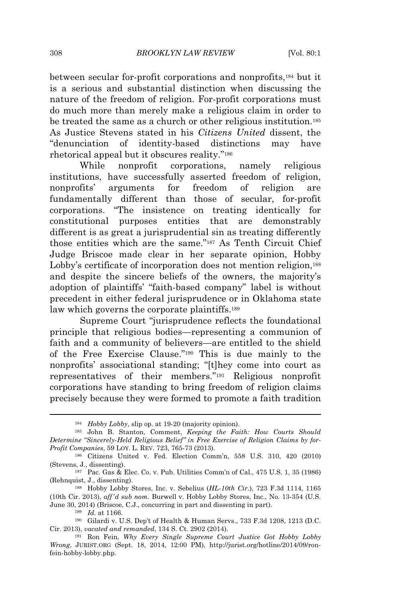between secular for-profit corporations and nonprofits,<sup>184</sup> but it is a serious and substantial distinction when discussing the nature of the freedom of religion. For-profit corporations must do much more than merely make a religious claim in order to be treated the same as a church or other religious institution.<sup>185</sup> As Justice Stevens stated in his *Citizens United* dissent, the "denunciation of identity-based distinctions may have rhetorical appeal but it obscures reality." 186

While nonprofit corporations, namely religious institutions, have successfully asserted freedom of religion, nonprofits' arguments for freedom of religion are fundamentally different than those of secular, for-profit corporations. "The insistence on treating identically for constitutional purposes entities that are demonstrably different is as great a jurisprudential sin as treating differently those entities which are the same." <sup>187</sup> As Tenth Circuit Chief Judge Briscoe made clear in her separate opinion, Hobby Lobby's certificate of incorporation does not mention religion,<sup>188</sup> and despite the sincere beliefs of the owners, the majority's adoption of plaintiffs' "faith-based company" label is without precedent in either federal jurisprudence or in Oklahoma state law which governs the corporate plaintiffs.<sup>189</sup>

Supreme Court "jurisprudence reflects the foundational principle that religious bodies—representing a communion of faith and a community of believers—are entitled to the shield of the Free Exercise Clause." <sup>190</sup> This is due mainly to the nonprofits' associational standing; "[t]hey come into court as representatives of their members." <sup>191</sup> Religious nonprofit corporations have standing to bring freedom of religion claims precisely because they were formed to promote a faith tradition

<sup>184</sup> *Hobby Lobby*, slip op. at 19-20 (majority opinion).

<sup>185</sup> John B. Stanton, Comment, *Keeping the Faith: How Courts Should Determine "Sincerely-Held Religious Belief" in Free Exercise of Religion Claims by for-Profit Companies*, 59 LOY. L. REV. 723, 765-73 (2013).

<sup>186</sup> Citizens United v. Fed. Election Comm'n, 558 U.S. 310, 420 (2010) (Stevens, J., dissenting).

<sup>187</sup> Pac. Gas & Elec. Co. v. Pub. Utilities Comm'n of Cal., 475 U.S. 1, 35 (1986) (Rehnquist, J., dissenting).

<sup>188</sup> Hobby Lobby Stores, Inc. v. Sebelius (*HL-10th Cir.*), 723 F.3d 1114, 1165 (10th Cir. 2013), *aff'd sub nom.* Burwell v. Hobby Lobby Stores, Inc., No. 13-354 (U.S. June 30, 2014) (Briscoe, C.J., concurring in part and dissenting in part).

<sup>189</sup> *Id.* at 1166.

<sup>190</sup> Gilardi v. U.S. Dep't of Health & Human Servs., 733 F.3d 1208, 1213 (D.C. Cir. 2013), *vacated and remanded*, 134 S. Ct. 2902 (2014).

<sup>191</sup> Ron Fein, *Why Every Single Supreme Court Justice Got Hobby Lobby Wrong*, JURIST.ORG (Sept. 18, 2014, 12:00 PM), http://jurist.org/hotline/2014/09/ronfein-hobby-lobby.php.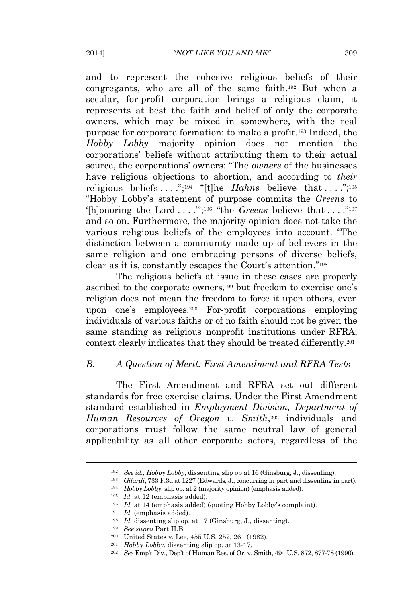and to represent the cohesive religious beliefs of their congregants, who are all of the same faith.<sup>192</sup> But when a secular, for-profit corporation brings a religious claim, it represents at best the faith and belief of only the corporate owners, which may be mixed in somewhere, with the real purpose for corporate formation: to make a profit.<sup>193</sup> Indeed, the *Hobby Lobby* majority opinion does not mention the corporations' beliefs without attributing them to their actual source, the corporations' owners: "The *owners* of the businesses have religious objections to abortion, and according to *their* religious beliefs ....";<sup>194</sup> "[t]he *Hahns* believe that ....";<sup>195</sup> "Hobby Lobby's statement of purpose commits the *Greens* to '[h]onoring the Lord ...."<sup>'</sup>;<sup>196</sup> "the *Greens* believe that ...."<sup>197</sup> and so on. Furthermore, the majority opinion does not take the various religious beliefs of the employees into account. "The distinction between a community made up of believers in the same religion and one embracing persons of diverse beliefs, clear as it is, constantly escapes the Court's attention." 198

The religious beliefs at issue in these cases are properly ascribed to the corporate owners,<sup>199</sup> but freedom to exercise one's religion does not mean the freedom to force it upon others, even upon one's employees.<sup>200</sup> For-profit corporations employing individuals of various faiths or of no faith should not be given the same standing as religious nonprofit institutions under RFRA; context clearly indicates that they should be treated differently.<sup>201</sup>

### *B. A Question of Merit: First Amendment and RFRA Tests*

The First Amendment and RFRA set out different standards for free exercise claims. Under the First Amendment standard established in *Employment Division, Department of Human Resources of Oregon v. Smith*, <sup>202</sup> individuals and corporations must follow the same neutral law of general applicability as all other corporate actors, regardless of the

<sup>192</sup> *See id.*; *Hobby Lobby*, dissenting slip op at 16 (Ginsburg, J., dissenting).

<sup>193</sup> *Gilardi*, 733 F.3d at 1227 (Edwards, J., concurring in part and dissenting in part).

<sup>194</sup> *Hobby Lobby*, slip op. at 2 (majority opinion) (emphasis added).

<sup>195</sup> *Id.* at 12 (emphasis added).

<sup>196</sup> *Id.* at 14 (emphasis added) (quoting Hobby Lobby's complaint).

<sup>197</sup> *Id.* (emphasis added).

<sup>198</sup> *Id.* dissenting slip op. at 17 (Ginsburg, J., dissenting).

<sup>199</sup> *See supra* Part II.B.

<sup>200</sup> United States v. Lee, 455 U.S. 252, 261 (1982).

<sup>201</sup> *Hobby Lobby*, dissenting slip op. at 13-17.

<sup>202</sup> *See* Emp't Div., Dep't of Human Res. of Or. v. Smith, 494 U.S. 872, 877-78 (1990).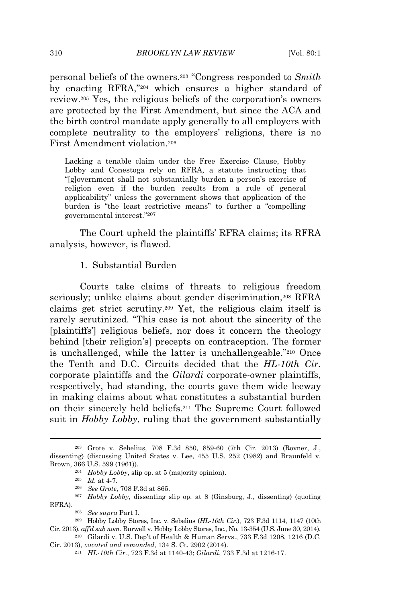personal beliefs of the owners.<sup>203</sup> "Congress responded to *Smith* by enacting RFRA," <sup>204</sup> which ensures a higher standard of review.<sup>205</sup> Yes, the religious beliefs of the corporation's owners are protected by the First Amendment, but since the ACA and the birth control mandate apply generally to all employers with complete neutrality to the employers' religions, there is no First Amendment violation.<sup>206</sup>

Lacking a tenable claim under the Free Exercise Clause, Hobby Lobby and Conestoga rely on RFRA, a statute instructing that "[g]overnment shall not substantially burden a person's exercise of religion even if the burden results from a rule of general applicability" unless the government shows that application of the burden is "the least restrictive means" to further a "compelling governmental interest." 207

The Court upheld the plaintiffs' RFRA claims; its RFRA analysis, however, is flawed.

#### 1. Substantial Burden

Courts take claims of threats to religious freedom seriously; unlike claims about gender discrimination,<sup>208</sup> RFRA claims get strict scrutiny.<sup>209</sup> Yet, the religious claim itself is rarely scrutinized. "This case is not about the sincerity of the [plaintiffs'] religious beliefs, nor does it concern the theology behind [their religion's] precepts on contraception. The former is unchallenged, while the latter is unchallengeable." <sup>210</sup> Once the Tenth and D.C. Circuits decided that the *HL-10th Cir.* corporate plaintiffs and the *Gilardi* corporate-owner plaintiffs, respectively, had standing, the courts gave them wide leeway in making claims about what constitutes a substantial burden on their sincerely held beliefs.<sup>211</sup> The Supreme Court followed suit in *Hobby Lobby*, ruling that the government substantially

<sup>203</sup> Grote v. Sebelius, 708 F.3d 850, 859-60 (7th Cir. 2013) (Rovner, J., dissenting) (discussing United States v. Lee, 455 U.S. 252 (1982) and Braunfeld v. Brown, 366 U.S. 599 (1961)).

<sup>204</sup> *Hobby Lobby*, slip op. at 5 (majority opinion).

<sup>205</sup> *Id.* at 4-7.

<sup>206</sup> *See Grote*, 708 F.3d at 865.

<sup>207</sup> *Hobby Lobby*, dissenting slip op. at 8 (Ginsburg, J., dissenting) (quoting RFRA).

<sup>208</sup> *See supra* Part I.

<sup>209</sup> Hobby Lobby Stores, Inc. v. Sebelius (*HL-10th Cir.*), 723 F.3d 1114, 1147 (10th Cir. 2013), *aff'd sub nom.* Burwell v. Hobby Lobby Stores, Inc., No. 13-354 (U.S. June 30, 2014). <sup>210</sup> Gilardi v. U.S. Dep't of Health & Human Servs., 733 F.3d 1208, 1216 (D.C.

Cir. 2013), *vacated and remanded*, 134 S. Ct. 2902 (2014).

<sup>211</sup> *HL-10th Cir.*, 723 F.3d at 1140-43; *Gilardi*, 733 F.3d at 1216-17.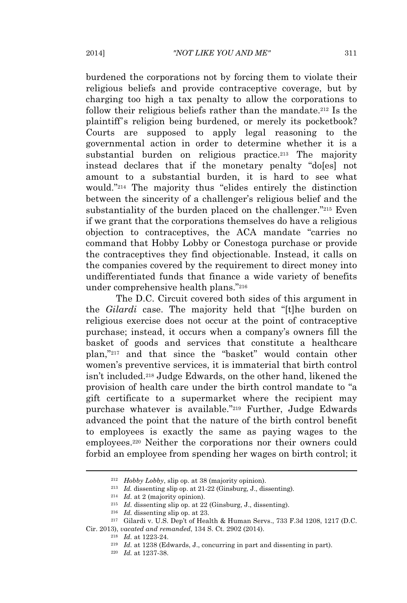burdened the corporations not by forcing them to violate their religious beliefs and provide contraceptive coverage, but by charging too high a tax penalty to allow the corporations to follow their religious beliefs rather than the mandate.<sup>212</sup> Is the plaintiff's religion being burdened, or merely its pocketbook? Courts are supposed to apply legal reasoning to the governmental action in order to determine whether it is a substantial burden on religious practice.<sup>213</sup> The majority instead declares that if the monetary penalty "do[es] not amount to a substantial burden, it is hard to see what would." <sup>214</sup> The majority thus "elides entirely the distinction between the sincerity of a challenger's religious belief and the substantiality of the burden placed on the challenger."<sup>215</sup> Even if we grant that the corporations themselves do have a religious objection to contraceptives, the ACA mandate "carries no command that Hobby Lobby or Conestoga purchase or provide the contraceptives they find objectionable. Instead, it calls on the companies covered by the requirement to direct money into undifferentiated funds that finance a wide variety of benefits under comprehensive health plans." 216

The D.C. Circuit covered both sides of this argument in the *Gilardi* case. The majority held that "[t]he burden on religious exercise does not occur at the point of contraceptive purchase; instead, it occurs when a company's owners fill the basket of goods and services that constitute a healthcare plan," <sup>217</sup> and that since the "basket" would contain other women's preventive services, it is immaterial that birth control isn't included.<sup>218</sup> Judge Edwards, on the other hand, likened the provision of health care under the birth control mandate to "a gift certificate to a supermarket where the recipient may purchase whatever is available." <sup>219</sup> Further, Judge Edwards advanced the point that the nature of the birth control benefit to employees is exactly the same as paying wages to the employees.<sup>220</sup> Neither the corporations nor their owners could forbid an employee from spending her wages on birth control; it

<sup>212</sup> *Hobby Lobby*, slip op. at 38 (majority opinion).

<sup>213</sup> *Id.* dissenting slip op. at 21-22 (Ginsburg, J., dissenting).

<sup>214</sup> *Id.* at 2 (majority opinion).

<sup>215</sup> *Id.* dissenting slip op. at 22 (Ginsburg, J., dissenting).

<sup>216</sup> *Id.* dissenting slip op. at 23.

 $217$  Gilardi v. U.S. Dep't of Health & Human Servs., 733 F.3d 1208, 1217 (D.C. Cir. 2013), *vacated and remanded*, 134 S. Ct. 2902 (2014).

<sup>218</sup> *Id.* at 1223-24.

<sup>219</sup> *Id.* at 1238 (Edwards, J., concurring in part and dissenting in part).

<sup>220</sup> *Id.* at 1237-38.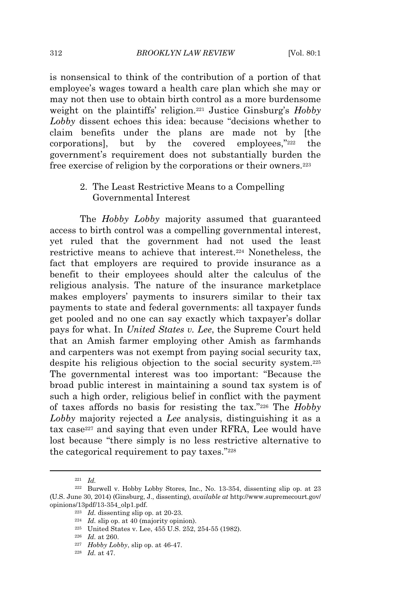is nonsensical to think of the contribution of a portion of that employee's wages toward a health care plan which she may or may not then use to obtain birth control as a more burdensome weight on the plaintiffs' religion.<sup>221</sup> Justice Ginsburg's *Hobby Lobby* dissent echoes this idea: because "decisions whether to claim benefits under the plans are made not by [the corporations], but by the covered employees," the government's requirement does not substantially burden the free exercise of religion by the corporations or their owners.<sup>223</sup>

> 2. The Least Restrictive Means to a Compelling Governmental Interest

The *Hobby Lobby* majority assumed that guaranteed access to birth control was a compelling governmental interest, yet ruled that the government had not used the least restrictive means to achieve that interest.<sup>224</sup> Nonetheless, the fact that employers are required to provide insurance as a benefit to their employees should alter the calculus of the religious analysis. The nature of the insurance marketplace makes employers' payments to insurers similar to their tax payments to state and federal governments: all taxpayer funds get pooled and no one can say exactly which taxpayer's dollar pays for what. In *United States v. Lee*, the Supreme Court held that an Amish farmer employing other Amish as farmhands and carpenters was not exempt from paying social security tax, despite his religious objection to the social security system.<sup>225</sup> The governmental interest was too important: "Because the broad public interest in maintaining a sound tax system is of such a high order, religious belief in conflict with the payment of taxes affords no basis for resisting the tax." <sup>226</sup> The *Hobby Lobby* majority rejected a *Lee* analysis, distinguishing it as a tax case<sup>227</sup> and saying that even under RFRA, Lee would have lost because "there simply is no less restrictive alternative to the categorical requirement to pay taxes."<sup>228</sup>

<sup>225</sup> United States v. Lee, 455 U.S. 252, 254-55 (1982).

<sup>227</sup> *Hobby Lobby*, slip op. at 46-47.

<sup>221</sup> *Id.*

<sup>222</sup> Burwell v. Hobby Lobby Stores, Inc., No. 13-354, dissenting slip op. at 23 (U.S. June 30, 2014) (Ginsburg, J., dissenting), *available at* http://www.supremecourt.gov/ opinions/13pdf/13-354\_olp1.pdf.

<sup>223</sup> *Id.* dissenting slip op. at 20-23.

<sup>224</sup> *Id.* slip op. at 40 (majority opinion).

<sup>226</sup> *Id.* at 260.

<sup>228</sup> *Id.* at 47.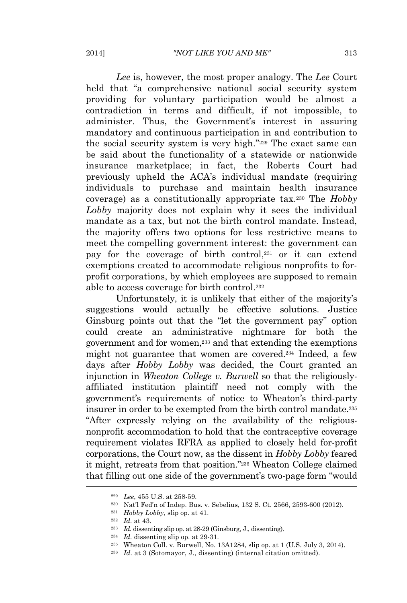*Lee* is, however, the most proper analogy. The *Lee* Court held that "a comprehensive national social security system providing for voluntary participation would be almost a contradiction in terms and difficult, if not impossible, to administer. Thus, the Government's interest in assuring mandatory and continuous participation in and contribution to the social security system is very high." <sup>229</sup> The exact same can be said about the functionality of a statewide or nationwide insurance marketplace; in fact, the Roberts Court had previously upheld the ACA's individual mandate (requiring individuals to purchase and maintain health insurance coverage) as a constitutionally appropriate tax.<sup>230</sup> The *Hobby Lobby* majority does not explain why it sees the individual mandate as a tax, but not the birth control mandate. Instead, the majority offers two options for less restrictive means to meet the compelling government interest: the government can pay for the coverage of birth control,<sup>231</sup> or it can extend exemptions created to accommodate religious nonprofits to forprofit corporations, by which employees are supposed to remain able to access coverage for birth control.<sup>232</sup>

Unfortunately, it is unlikely that either of the majority's suggestions would actually be effective solutions. Justice Ginsburg points out that the "let the government pay" option could create an administrative nightmare for both the government and for women,<sup>233</sup> and that extending the exemptions might not guarantee that women are covered.<sup>234</sup> Indeed, a few days after *Hobby Lobby* was decided, the Court granted an injunction in *Wheaton College v. Burwell* so that the religiouslyaffiliated institution plaintiff need not comply with the government's requirements of notice to Wheaton's third-party insurer in order to be exempted from the birth control mandate.<sup>235</sup> "After expressly relying on the availability of the religiousnonprofit accommodation to hold that the contraceptive coverage requirement violates RFRA as applied to closely held for-profit corporations, the Court now, as the dissent in *Hobby Lobby* feared it might, retreats from that position." <sup>236</sup> Wheaton College claimed that filling out one side of the government's two-page form "would

<sup>229</sup> *Lee*, 455 U.S. at 258-59.

<sup>230</sup> Nat'l Fed'n of Indep. Bus. v. Sebelius, 132 S. Ct. 2566, 2593-600 (2012).

<sup>231</sup> *Hobby Lobby*, slip op. at 41.

<sup>232</sup> *Id.* at 43.

<sup>233</sup> *Id.* dissenting slip op. at 28-29 (Ginsburg, J., dissenting).

<sup>234</sup> *Id.* dissenting slip op. at 29-31.

<sup>&</sup>lt;sup>235</sup> Wheaton Coll. v. Burwell, No. 13A1284, slip op. at 1 (U.S. July 3, 2014).

<sup>236</sup> *Id.* at 3 (Sotomayor, J., dissenting) (internal citation omitted).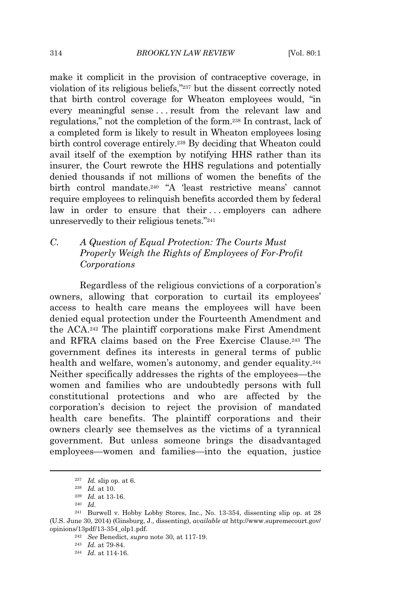make it complicit in the provision of contraceptive coverage, in violation of its religious beliefs," <sup>237</sup> but the dissent correctly noted that birth control coverage for Wheaton employees would, "in every meaningful sense . . . result from the relevant law and regulations," not the completion of the form.<sup>238</sup> In contrast, lack of a completed form is likely to result in Wheaton employees losing birth control coverage entirely.<sup>239</sup> By deciding that Wheaton could avail itself of the exemption by notifying HHS rather than its insurer, the Court rewrote the HHS regulations and potentially denied thousands if not millions of women the benefits of the birth control mandate.<sup>240</sup> "A 'least restrictive means' cannot require employees to relinquish benefits accorded them by federal law in order to ensure that their ... employers can adhere unreservedly to their religious tenets."<sup>241</sup>

# *C. A Question of Equal Protection: The Courts Must Properly Weigh the Rights of Employees of For-Profit Corporations*

Regardless of the religious convictions of a corporation's owners, allowing that corporation to curtail its employees' access to health care means the employees will have been denied equal protection under the Fourteenth Amendment and the ACA.<sup>242</sup> The plaintiff corporations make First Amendment and RFRA claims based on the Free Exercise Clause.<sup>243</sup> The government defines its interests in general terms of public health and welfare, women's autonomy, and gender equality.<sup>244</sup> Neither specifically addresses the rights of the employees—the women and families who are undoubtedly persons with full constitutional protections and who are affected by the corporation's decision to reject the provision of mandated health care benefits. The plaintiff corporations and their owners clearly see themselves as the victims of a tyrannical government. But unless someone brings the disadvantaged employees—women and families—into the equation, justice

<sup>237</sup> *Id.* slip op. at 6.

<sup>238</sup> *Id.* at 10.

<sup>239</sup> *Id.* at 13-16.

<sup>240</sup> *Id.*

<sup>241</sup> Burwell v. Hobby Lobby Stores, Inc., No. 13-354, dissenting slip op. at 28 (U.S. June 30, 2014) (Ginsburg, J., dissenting), *available at* http://www.supremecourt.gov/ opinions/13pdf/13-354\_olp1.pdf.

<sup>242</sup> *See* Benedict, *supra* note 30, at 117-19.

<sup>243</sup> *Id.* at 79-84.

<sup>244</sup> *Id.* at 114-16.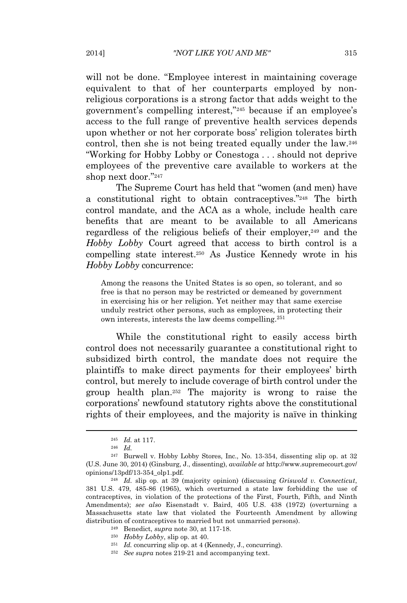will not be done. "Employee interest in maintaining coverage equivalent to that of her counterparts employed by nonreligious corporations is a strong factor that adds weight to the government's compelling interest," <sup>245</sup> because if an employee's access to the full range of preventive health services depends upon whether or not her corporate boss' religion tolerates birth control, then she is not being treated equally under the law.<sup>246</sup> "Working for Hobby Lobby or Conestoga . . . should not deprive employees of the preventive care available to workers at the shop next door." 247

The Supreme Court has held that "women (and men) have a constitutional right to obtain contraceptives." <sup>248</sup> The birth control mandate, and the ACA as a whole, include health care benefits that are meant to be available to all Americans regardless of the religious beliefs of their employer,<sup>249</sup> and the *Hobby Lobby* Court agreed that access to birth control is a compelling state interest.<sup>250</sup> As Justice Kennedy wrote in his *Hobby Lobby* concurrence:

Among the reasons the United States is so open, so tolerant, and so free is that no person may be restricted or demeaned by government in exercising his or her religion. Yet neither may that same exercise unduly restrict other persons, such as employees, in protecting their own interests, interests the law deems compelling.<sup>251</sup>

While the constitutional right to easily access birth control does not necessarily guarantee a constitutional right to subsidized birth control, the mandate does not require the plaintiffs to make direct payments for their employees' birth control, but merely to include coverage of birth control under the group health plan.<sup>252</sup> The majority is wrong to raise the corporations' newfound statutory rights above the constitutional rights of their employees, and the majority is naïve in thinking

<sup>245</sup> *Id.* at 117.

<sup>246</sup> *Id.*

<sup>247</sup> Burwell v. Hobby Lobby Stores, Inc., No. 13-354, dissenting slip op. at 32 (U.S. June 30, 2014) (Ginsburg, J., dissenting), *available at* http://www.supremecourt.gov/ opinions/13pdf/13-354\_olp1.pdf.

<sup>248</sup> *Id.* slip op. at 39 (majority opinion) (discussing *Griswold v. Connecticut*, 381 U.S. 479, 485-86 (1965), which overturned a state law forbidding the use of contraceptives, in violation of the protections of the First, Fourth, Fifth, and Ninth Amendments); *see also* Eisenstadt v. Baird, 405 U.S. 438 (1972) (overturning a Massachusetts state law that violated the Fourteenth Amendment by allowing distribution of contraceptives to married but not unmarried persons).

<sup>249</sup> Benedict, *supra* note 30, at 117-18.

<sup>250</sup> *Hobby Lobby*, slip op. at 40.

<sup>&</sup>lt;sup>251</sup> *Id.* concurring slip op. at 4 (Kennedy, J., concurring).

<sup>252</sup> *See supra* notes 219-21 and accompanying text.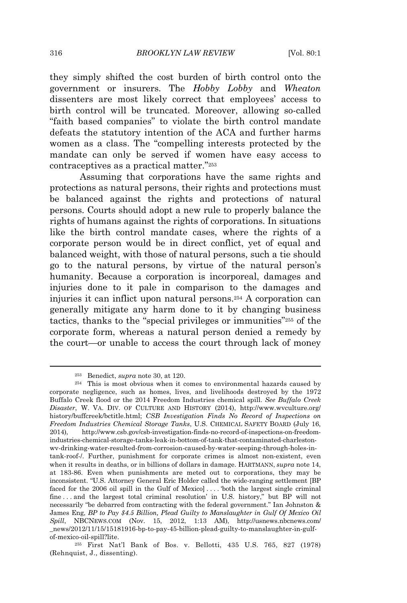they simply shifted the cost burden of birth control onto the government or insurers. The *Hobby Lobby* and *Wheaton* dissenters are most likely correct that employees' access to birth control will be truncated. Moreover, allowing so-called "faith based companies" to violate the birth control mandate defeats the statutory intention of the ACA and further harms women as a class. The "compelling interests protected by the mandate can only be served if women have easy access to contraceptives as a practical matter." 253

Assuming that corporations have the same rights and protections as natural persons, their rights and protections must be balanced against the rights and protections of natural persons. Courts should adopt a new rule to properly balance the rights of humans against the rights of corporations. In situations like the birth control mandate cases, where the rights of a corporate person would be in direct conflict, yet of equal and balanced weight, with those of natural persons, such a tie should go to the natural persons, by virtue of the natural person's humanity. Because a corporation is incorporeal, damages and injuries done to it pale in comparison to the damages and injuries it can inflict upon natural persons.<sup>254</sup> A corporation can generally mitigate any harm done to it by changing business tactics, thanks to the "special privileges or immunities" <sup>255</sup> of the corporate form, whereas a natural person denied a remedy by the court—or unable to access the court through lack of money

<sup>253</sup> Benedict, *supra* note 30, at 120.

<sup>254</sup> This is most obvious when it comes to environmental hazards caused by corporate negligence, such as homes, lives, and livelihoods destroyed by the 1972 Buffalo Creek flood or the 2014 Freedom Industries chemical spill. *See Buffalo Creek Disaster*, W. VA. DIV. OF CULTURE AND HISTORY (2014), http://www.wvculture.org/ history/buffcreek/bctitle.html; *CSB Investigation Finds No Record of Inspections on Freedom Industries Chemical Storage Tanks*, U.S. CHEMICAL SAFETY BOARD (July 16, 2014), http://www.csb.gov/csb-investigation-finds-no-record-of-inspections-on-freedomindustries-chemical-storage-tanks-leak-in-bottom-of-tank-that-contaminated-charlestonwv-drinking-water-resulted-from-corrosion-caused-by-water-seeping-through-holes-intank-roof-/. Further, punishment for corporate crimes is almost non-existent, even when it results in deaths, or in billions of dollars in damage. HARTMANN, *supra* note 14, at 183-86. Even when punishments are meted out to corporations, they may be inconsistent. "U.S. Attorney General Eric Holder called the wide-ranging settlement [BP faced for the 2006 oil spill in the Gulf of Mexico] . . . . 'both the largest single criminal fine . . . and the largest total criminal resolution' in U.S. history," but BP will not necessarily "be debarred from contracting with the federal government." Ian Johnston & James Eng, *BP to Pay \$4.5 Billion, Plead Guilty to Manslaughter in Gulf Of Mexico Oil Spill*, NBCNEWS.COM (Nov. 15, 2012, 1:13 AM), http://usnews.nbcnews.com/ \_news/2012/11/15/15181916-bp-to-pay-45-billion-plead-guilty-to-manslaughter-in-gulfof-mexico-oil-spill?lite.

<sup>255</sup> First Nat'l Bank of Bos. v. Bellotti, 435 U.S. 765, 827 (1978) (Rehnquist, J., dissenting).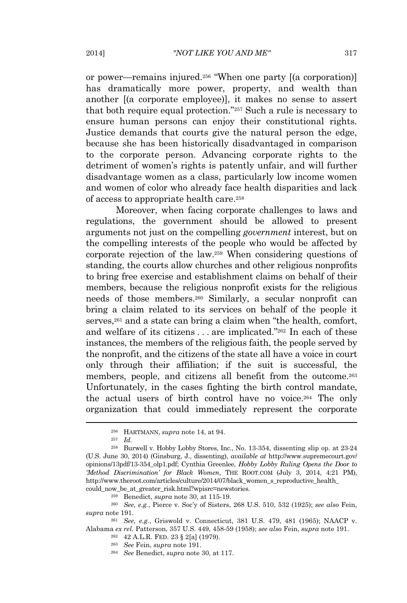or power—remains injured.<sup>256</sup> "When one party [(a corporation)] has dramatically more power, property, and wealth than another [(a corporate employee)], it makes no sense to assert that both require equal protection." <sup>257</sup> Such a rule is necessary to ensure human persons can enjoy their constitutional rights. Justice demands that courts give the natural person the edge, because she has been historically disadvantaged in comparison to the corporate person. Advancing corporate rights to the detriment of women's rights is patently unfair, and will further disadvantage women as a class, particularly low income women and women of color who already face health disparities and lack of access to appropriate health care.<sup>258</sup>

Moreover, when facing corporate challenges to laws and regulations, the government should be allowed to present arguments not just on the compelling *government* interest, but on the compelling interests of the people who would be affected by corporate rejection of the law.<sup>259</sup> When considering questions of standing, the courts allow churches and other religious nonprofits to bring free exercise and establishment claims on behalf of their members, because the religious nonprofit exists for the religious needs of those members.<sup>260</sup> Similarly, a secular nonprofit can bring a claim related to its services on behalf of the people it serves,<sup>261</sup> and a state can bring a claim when "the health, comfort, and welfare of its citizens . . . are implicated." <sup>262</sup> In each of these instances, the members of the religious faith, the people served by the nonprofit, and the citizens of the state all have a voice in court only through their affiliation; if the suit is successful, the members, people, and citizens all benefit from the outcome.<sup>263</sup> Unfortunately, in the cases fighting the birth control mandate, the actual users of birth control have no voice.<sup>264</sup> The only organization that could immediately represent the corporate

<sup>256</sup> HARTMANN, *supra* note 14, at 94.

<sup>257</sup> *Id.*

<sup>258</sup> Burwell v. Hobby Lobby Stores, Inc., No. 13-354, dissenting slip op. at 23-24 (U.S. June 30, 2014) (Ginsburg, J., dissenting), *available at* http://www.supremecourt.gov/ opinions/13pdf/13-354\_olp1.pdf; Cynthia Greenlee, *Hobby Lobby Ruling Opens the Door to 'Method Discrimination' for Black Women*, THE ROOT.COM (July 3, 2014, 4:21 PM), http://www.theroot.com/articles/culture/2014/07/black\_women\_s\_reproductive\_health\_ could now be at greater risk.html?wpisrc=newstories.

<sup>259</sup> Benedict, *supra* note 30, at 115-19.

<sup>260</sup> *See, e.g.*, Pierce v. Soc'y of Sisters, 268 U.S. 510, 532 (1925); *see also* Fein, *supra* note 191.

<sup>261</sup> *See, e.g.*, Griswold v. Connecticut, 381 U.S. 479, 481 (1965); NAACP v. Alabama *ex rel.* Patterson, 357 U.S. 449, 458-59 (1958); *see also* Fein, *supra* note 191.

<sup>262</sup> 42 A.L.R. FED. 23 § 2[a] (1979).

<sup>263</sup> *See* Fein, *supra* note 191.

<sup>264</sup> *See* Benedict, *supra* note 30, at 117.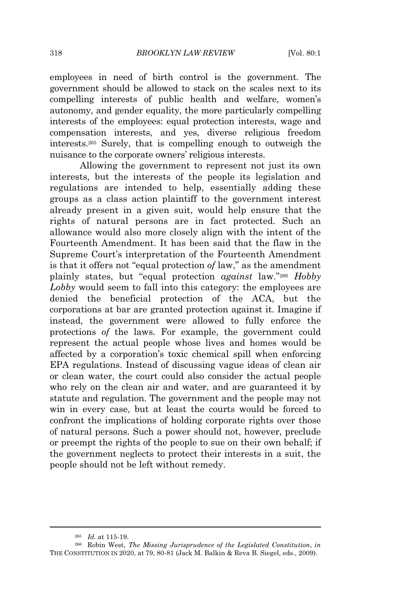employees in need of birth control is the government. The government should be allowed to stack on the scales next to its compelling interests of public health and welfare, women's autonomy, and gender equality, the more particularly compelling interests of the employees: equal protection interests, wage and compensation interests, and yes, diverse religious freedom interests.<sup>265</sup> Surely, that is compelling enough to outweigh the nuisance to the corporate owners' religious interests.

Allowing the government to represent not just its own interests, but the interests of the people its legislation and regulations are intended to help, essentially adding these groups as a class action plaintiff to the government interest already present in a given suit, would help ensure that the rights of natural persons are in fact protected. Such an allowance would also more closely align with the intent of the Fourteenth Amendment. It has been said that the flaw in the Supreme Court's interpretation of the Fourteenth Amendment is that it offers not "equal protection *of* law," as the amendment plainly states, but "equal protection *against* law." <sup>266</sup> *Hobby Lobby* would seem to fall into this category: the employees are denied the beneficial protection of the ACA, but the corporations at bar are granted protection against it. Imagine if instead, the government were allowed to fully enforce the protections *of* the laws. For example, the government could represent the actual people whose lives and homes would be affected by a corporation's toxic chemical spill when enforcing EPA regulations. Instead of discussing vague ideas of clean air or clean water, the court could also consider the actual people who rely on the clean air and water, and are guaranteed it by statute and regulation. The government and the people may not win in every case, but at least the courts would be forced to confront the implications of holding corporate rights over those of natural persons. Such a power should not, however, preclude or preempt the rights of the people to sue on their own behalf; if the government neglects to protect their interests in a suit, the people should not be left without remedy.

<sup>265</sup> *Id.* at 115-19.

<sup>266</sup> Robin West, *The Missing Jurisprudence of the Legislated Constitution*, *in* THE CONSTITUTION IN 2020, at 79, 80-81 (Jack M. Balkin & Reva B. Siegel, eds., 2009).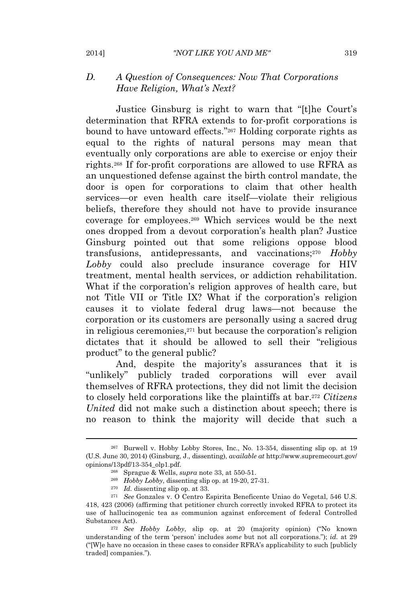## *D. A Question of Consequences: Now That Corporations Have Religion, What's Next?*

Justice Ginsburg is right to warn that "[t]he Court's determination that RFRA extends to for-profit corporations is bound to have untoward effects." <sup>267</sup> Holding corporate rights as equal to the rights of natural persons may mean that eventually only corporations are able to exercise or enjoy their rights.<sup>268</sup> If for-profit corporations are allowed to use RFRA as an unquestioned defense against the birth control mandate, the door is open for corporations to claim that other health services—or even health care itself—violate their religious beliefs, therefore they should not have to provide insurance coverage for employees.<sup>269</sup> Which services would be the next ones dropped from a devout corporation's health plan? Justice Ginsburg pointed out that some religions oppose blood transfusions, antidepressants, and vaccinations;<sup>270</sup> *Hobby Lobby* could also preclude insurance coverage for HIV treatment, mental health services, or addiction rehabilitation. What if the corporation's religion approves of health care, but not Title VII or Title IX? What if the corporation's religion causes it to violate federal drug laws—not because the corporation or its customers are personally using a sacred drug in religious ceremonies,<sup>271</sup> but because the corporation's religion dictates that it should be allowed to sell their "religious product" to the general public?

And, despite the majority's assurances that it is "unlikely" publicly traded corporations will ever avail themselves of RFRA protections, they did not limit the decision to closely held corporations like the plaintiffs at bar.<sup>272</sup> *Citizens United* did not make such a distinction about speech; there is no reason to think the majority will decide that such a

<sup>267</sup> Burwell v. Hobby Lobby Stores, Inc., No. 13-354, dissenting slip op. at 19 (U.S. June 30, 2014) (Ginsburg, J., dissenting), *available at* http://www.supremecourt.gov/ opinions/13pdf/13-354\_olp1.pdf.

<sup>268</sup> Sprague & Wells, *supra* note 33, at 550-51.

<sup>269</sup> *Hobby Lobby*, dissenting slip op. at 19-20, 27-31.

<sup>270</sup> *Id.* dissenting slip op. at 33.

<sup>271</sup> *See* Gonzales v. O Centro Espirita Beneficente Uniao do Vegetal, 546 U.S. 418, 423 (2006) (affirming that petitioner church correctly invoked RFRA to protect its use of hallucinogenic tea as communion against enforcement of federal Controlled

Substances Act).

<sup>272</sup> *See Hobby Lobby*, slip op. at 20 (majority opinion) ("No known understanding of the term 'person' includes *some* but not all corporations."); *id.* at 29 ("[W]e have no occasion in these cases to consider RFRA's applicability to such [publicly traded] companies.").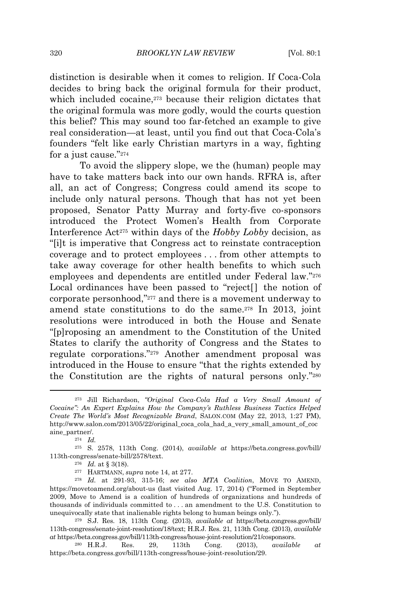distinction is desirable when it comes to religion. If Coca-Cola decides to bring back the original formula for their product, which included cocaine,<sup>273</sup> because their religion dictates that the original formula was more godly, would the courts question this belief? This may sound too far-fetched an example to give real consideration—at least, until you find out that Coca-Cola's founders "felt like early Christian martyrs in a way, fighting for a just cause."<sup>274</sup>

To avoid the slippery slope, we the (human) people may have to take matters back into our own hands. RFRA is, after all, an act of Congress; Congress could amend its scope to include only natural persons. Though that has not yet been proposed, Senator Patty Murray and forty-five co-sponsors introduced the Protect Women's Health from Corporate Interference Act<sup>275</sup> within days of the *Hobby Lobby* decision, as "[i]t is imperative that Congress act to reinstate contraception coverage and to protect employees . . . from other attempts to take away coverage for other health benefits to which such employees and dependents are entitled under Federal law." 276 Local ordinances have been passed to "reject[] the notion of corporate personhood," <sup>277</sup> and there is a movement underway to amend state constitutions to do the same.<sup>278</sup> In 2013, joint resolutions were introduced in both the House and Senate "[p]roposing an amendment to the Constitution of the United States to clarify the authority of Congress and the States to regulate corporations." <sup>279</sup> Another amendment proposal was introduced in the House to ensure "that the rights extended by the Constitution are the rights of natural persons only." 280

<sup>273</sup> Jill Richardson, *"Original Coca-Cola Had a Very Small Amount of Cocaine": An Expert Explains How the Company's Ruthless Business Tactics Helped Create The World's Most Recognizable Brand*, SALON.COM (May 22, 2013, 1:27 PM), http://www.salon.com/2013/05/22/original\_coca\_cola\_had\_a\_very\_small\_amount\_of\_coc aine partner/.

<sup>274</sup> *Id.*

<sup>275</sup> S. 2578, 113th Cong. (2014), *available at* https://beta.congress.gov/bill/ 113th-congress/senate-bill/2578/text.

<sup>276</sup> *Id.* at § 3(18).

<sup>277</sup> HARTMANN, *supra* note 14, at 277.

<sup>278</sup> *Id.* at 291-93, 315-16; *see also MTA Coalition*, MOVE TO AMEND, https://movetoamend.org/about-us (last visited Aug. 17, 2014) ("Formed in September 2009, Move to Amend is a coalition of hundreds of organizations and hundreds of thousands of individuals committed to . . . an amendment to the U.S. Constitution to unequivocally state that inalienable rights belong to human beings only.").

<sup>279</sup> S.J. Res. 18, 113th Cong. (2013), *available at* https://beta.congress.gov/bill/ 113th-congress/senate-joint-resolution/18/text; H.R.J. Res. 21, 113th Cong. (2013), *available at* https://beta.congress.gov/bill/113th-congress/house-joint-resolution/21/cosponsors.

<sup>280</sup> H.R.J. Res. 29, 113th Cong. (2013), *available at* https://beta.congress.gov/bill/113th-congress/house-joint-resolution/29.